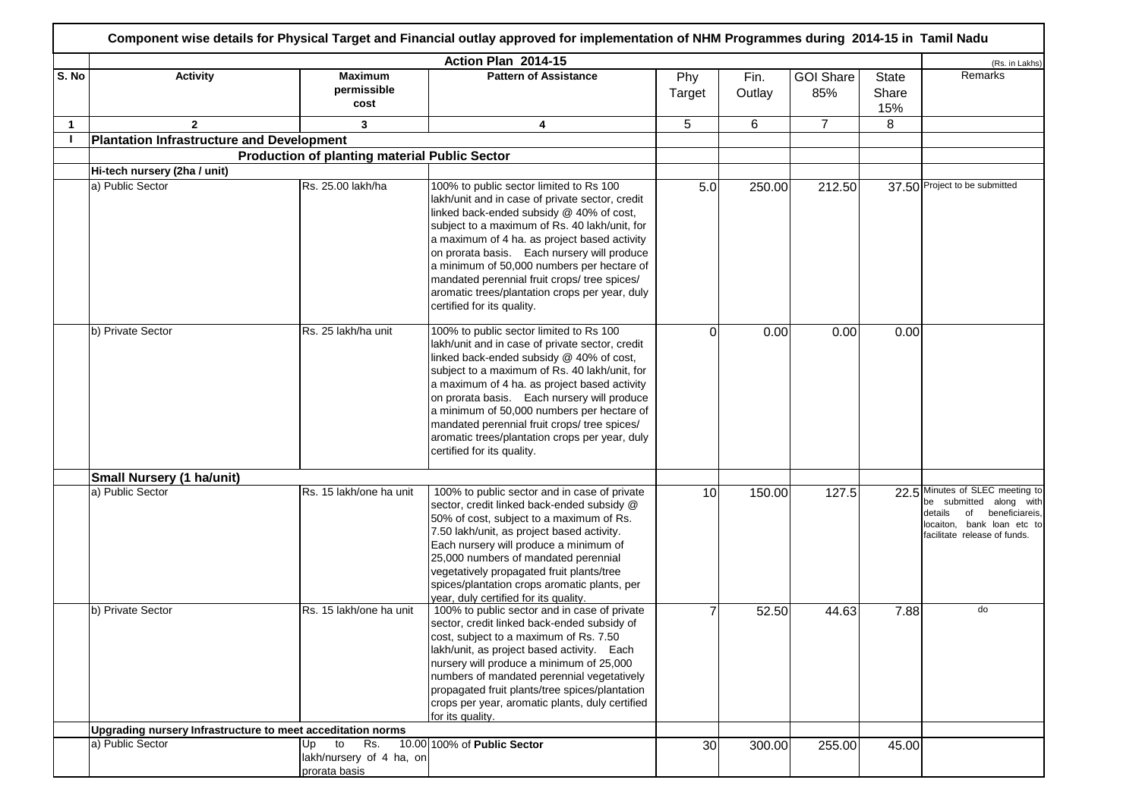|              |                                                             |                                                              | Action Plan 2014-15                                                                                                                                                                                                                                                                                                                                                                                                                                                  |               |                |                         |                       | (Rs. in Lakhs)                                                                                                                                         |
|--------------|-------------------------------------------------------------|--------------------------------------------------------------|----------------------------------------------------------------------------------------------------------------------------------------------------------------------------------------------------------------------------------------------------------------------------------------------------------------------------------------------------------------------------------------------------------------------------------------------------------------------|---------------|----------------|-------------------------|-----------------------|--------------------------------------------------------------------------------------------------------------------------------------------------------|
| S. No        | <b>Activity</b>                                             | <b>Maximum</b><br>permissible<br>cost                        | <b>Pattern of Assistance</b>                                                                                                                                                                                                                                                                                                                                                                                                                                         | Phy<br>Target | Fin.<br>Outlay | <b>GOI Share</b><br>85% | State<br>Share<br>15% | Remarks                                                                                                                                                |
| $\mathbf{1}$ | $\mathbf{2}$                                                | 3                                                            | 4                                                                                                                                                                                                                                                                                                                                                                                                                                                                    | 5             | 6              | $\overline{7}$          | 8                     |                                                                                                                                                        |
|              | Plantation Infrastructure and Development                   |                                                              |                                                                                                                                                                                                                                                                                                                                                                                                                                                                      |               |                |                         |                       |                                                                                                                                                        |
|              |                                                             | <b>Production of planting material Public Sector</b>         |                                                                                                                                                                                                                                                                                                                                                                                                                                                                      |               |                |                         |                       |                                                                                                                                                        |
|              | Hi-tech nursery (2ha / unit)                                |                                                              |                                                                                                                                                                                                                                                                                                                                                                                                                                                                      |               |                |                         |                       |                                                                                                                                                        |
|              | a) Public Sector                                            | Rs. 25.00 lakh/ha                                            | 100% to public sector limited to Rs 100<br>lakh/unit and in case of private sector, credit<br>linked back-ended subsidy @ 40% of cost,<br>subject to a maximum of Rs. 40 lakh/unit, for<br>a maximum of 4 ha. as project based activity<br>on prorata basis. Each nursery will produce<br>a minimum of 50,000 numbers per hectare of<br>mandated perennial fruit crops/ tree spices/<br>aromatic trees/plantation crops per year, duly<br>certified for its quality. | 5.0           | 250.00         | 212.50                  |                       | 37.50 Project to be submitted                                                                                                                          |
|              | b) Private Sector                                           | Rs. 25 lakh/ha unit                                          | 100% to public sector limited to Rs 100<br>lakh/unit and in case of private sector, credit<br>linked back-ended subsidy @ 40% of cost,<br>subject to a maximum of Rs. 40 lakh/unit, for<br>a maximum of 4 ha. as project based activity<br>on prorata basis. Each nursery will produce<br>a minimum of 50,000 numbers per hectare of<br>mandated perennial fruit crops/ tree spices/<br>aromatic trees/plantation crops per year, duly<br>certified for its quality. | $\Omega$      | 0.00           | 0.00                    | 0.00                  |                                                                                                                                                        |
|              | <b>Small Nursery (1 ha/unit)</b>                            |                                                              |                                                                                                                                                                                                                                                                                                                                                                                                                                                                      |               |                |                         |                       |                                                                                                                                                        |
|              | a) Public Sector                                            | Rs. 15 lakh/one ha unit                                      | 100% to public sector and in case of private<br>sector, credit linked back-ended subsidy @<br>50% of cost, subject to a maximum of Rs.<br>7.50 lakh/unit, as project based activity.<br>Each nursery will produce a minimum of<br>25,000 numbers of mandated perennial<br>vegetatively propagated fruit plants/tree<br>spices/plantation crops aromatic plants, per<br>vear, duly certified for its quality.                                                         | 10            | 150.00         | 127.5                   | 22.5                  | Minutes of SLEC meeting to<br>be submitted along with<br>details<br>of<br>beneficiareis,<br>locaiton, bank loan etc to<br>facilitate release of funds. |
|              | b) Private Sector                                           | Rs. 15 lakh/one ha unit                                      | 100% to public sector and in case of private<br>sector, credit linked back-ended subsidy of<br>cost, subject to a maximum of Rs. 7.50<br>lakh/unit, as project based activity. Each<br>nursery will produce a minimum of 25,000<br>numbers of mandated perennial vegetatively<br>propagated fruit plants/tree spices/plantation<br>crops per year, aromatic plants, duly certified<br>for its quality.                                                               |               | 52.50          | 44.63                   | 7.88                  | do                                                                                                                                                     |
|              | Upgrading nursery Infrastructure to meet acceditation norms |                                                              |                                                                                                                                                                                                                                                                                                                                                                                                                                                                      |               |                |                         |                       |                                                                                                                                                        |
|              | a) Public Sector                                            | Up<br>to<br>Rs.<br>lakh/nursery of 4 ha, on<br>prorata basis | 10.00 100% of Public Sector                                                                                                                                                                                                                                                                                                                                                                                                                                          | 30            | 300.00         | 255.00                  | 45.00                 |                                                                                                                                                        |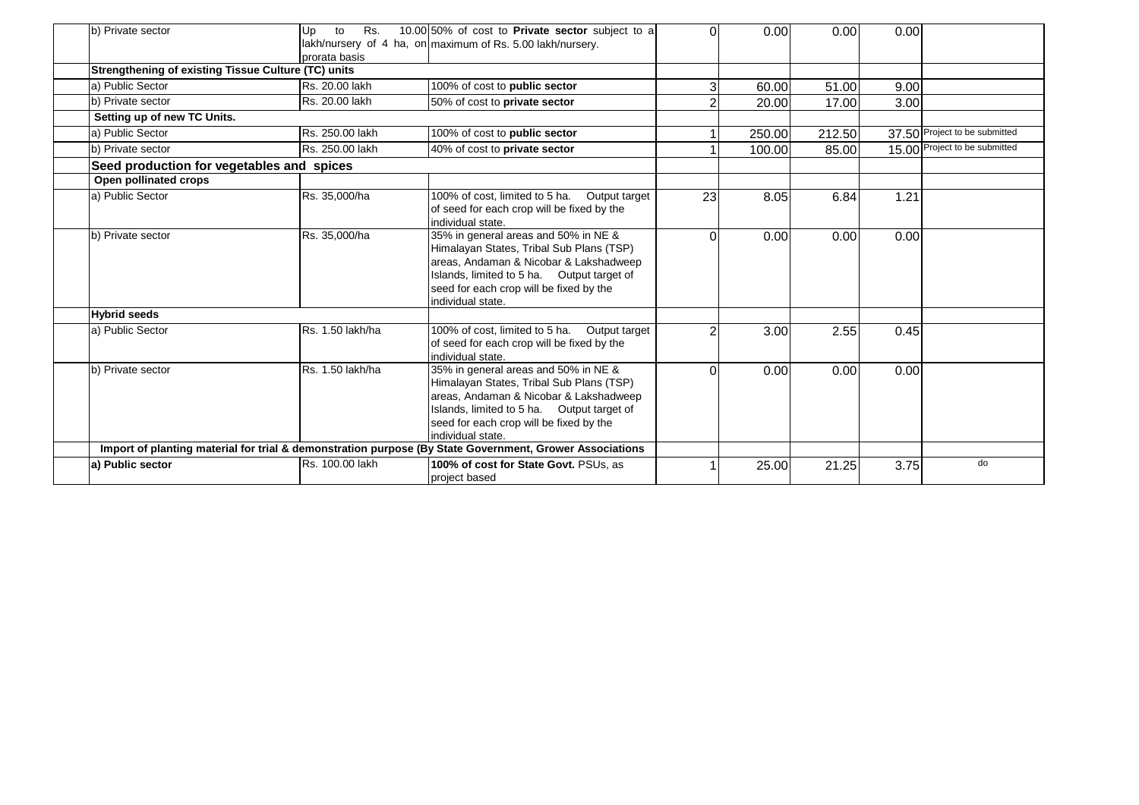| b) Private sector                                          | Rs.<br>Up<br>to<br>prorata basis | 10.00 50% of cost to Private sector subject to a<br>lakh/nursery of 4 ha, on maximum of Rs. 5.00 lakh/nursery.                                                                                                                           | $\Omega$ | 0.00   | 0.00   | 0.00 |                               |
|------------------------------------------------------------|----------------------------------|------------------------------------------------------------------------------------------------------------------------------------------------------------------------------------------------------------------------------------------|----------|--------|--------|------|-------------------------------|
| <b>Strengthening of existing Tissue Culture (TC) units</b> |                                  |                                                                                                                                                                                                                                          |          |        |        |      |                               |
| a) Public Sector                                           | Rs. 20.00 lakh                   | 100% of cost to public sector                                                                                                                                                                                                            |          | 60.00  | 51.00  | 9.00 |                               |
| b) Private sector                                          | Rs. 20.00 lakh                   | 50% of cost to private sector                                                                                                                                                                                                            |          | 20.00  | 17.00  | 3.00 |                               |
| Setting up of new TC Units.                                |                                  |                                                                                                                                                                                                                                          |          |        |        |      |                               |
| a) Public Sector                                           | Rs. 250.00 lakh                  | 100% of cost to public sector                                                                                                                                                                                                            |          | 250.00 | 212.50 |      | 37.50 Project to be submitted |
| b) Private sector                                          | Rs. 250.00 lakh                  | 40% of cost to private sector                                                                                                                                                                                                            |          | 100.00 | 85.00  |      | 15.00 Project to be submitted |
| Seed production for vegetables and spices                  |                                  |                                                                                                                                                                                                                                          |          |        |        |      |                               |
| Open pollinated crops                                      |                                  |                                                                                                                                                                                                                                          |          |        |        |      |                               |
| a) Public Sector                                           | Rs. 35,000/ha                    | 100% of cost, limited to 5 ha. Output target<br>of seed for each crop will be fixed by the<br>individual state.                                                                                                                          | 23       | 8.05   | 6.84   | 1.21 |                               |
| b) Private sector                                          | Rs. 35,000/ha                    | 35% in general areas and 50% in NE &<br>Himalayan States, Tribal Sub Plans (TSP)<br>areas, Andaman & Nicobar & Lakshadweep<br>Islands, limited to 5 ha. Output target of<br>seed for each crop will be fixed by the<br>individual state. | $\Omega$ | 0.00   | 0.00   | 0.00 |                               |
| <b>Hybrid seeds</b>                                        |                                  |                                                                                                                                                                                                                                          |          |        |        |      |                               |
| a) Public Sector                                           | Rs. 1.50 lakh/ha                 | 100% of cost, limited to 5 ha. Output target<br>of seed for each crop will be fixed by the<br>individual state.                                                                                                                          |          | 3.00   | 2.55   | 0.45 |                               |
| b) Private sector                                          | Rs. 1.50 lakh/ha                 | 35% in general areas and 50% in NE &<br>Himalayan States, Tribal Sub Plans (TSP)<br>areas, Andaman & Nicobar & Lakshadweep<br>Islands, limited to 5 ha. Output target of<br>seed for each crop will be fixed by the<br>individual state. | ∩        | 0.00   | 0.00   | 0.00 |                               |
|                                                            |                                  | Import of planting material for trial & demonstration purpose (By State Government, Grower Associations                                                                                                                                  |          |        |        |      |                               |
| a) Public sector                                           | Rs. 100.00 lakh                  | 100% of cost for State Govt. PSUs, as<br>project based                                                                                                                                                                                   |          | 25.00  | 21.25  | 3.75 | do                            |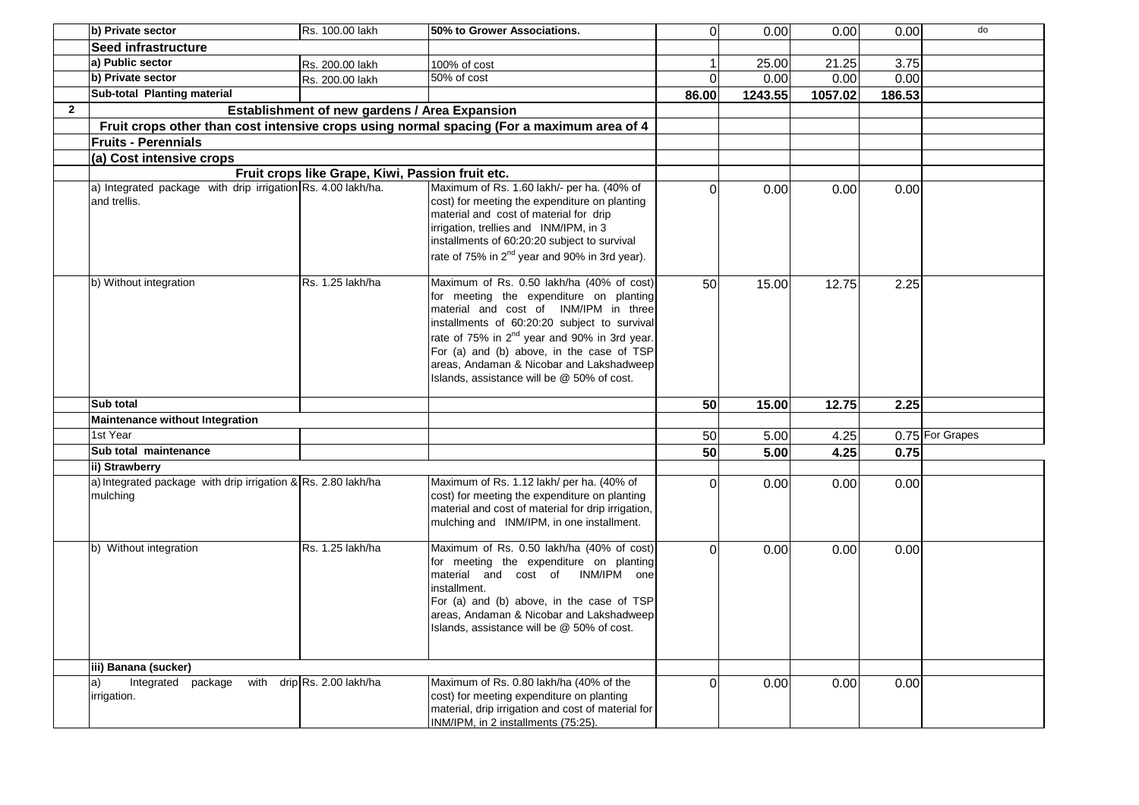|              | b) Private sector                                                            | Rs. 100.00 lakh                                  | 50% to Grower Associations.                                                                                                                                                                                                                                                                                                                                                      | $\Omega$        | 0.00    | 0.00    | 0.00   | do              |
|--------------|------------------------------------------------------------------------------|--------------------------------------------------|----------------------------------------------------------------------------------------------------------------------------------------------------------------------------------------------------------------------------------------------------------------------------------------------------------------------------------------------------------------------------------|-----------------|---------|---------|--------|-----------------|
|              | Seed infrastructure                                                          |                                                  |                                                                                                                                                                                                                                                                                                                                                                                  |                 |         |         |        |                 |
|              | a) Public sector                                                             | Rs. 200.00 lakh                                  | 100% of cost                                                                                                                                                                                                                                                                                                                                                                     |                 | 25.00   | 21.25   | 3.75   |                 |
|              | b) Private sector                                                            | Rs. 200.00 lakh                                  | 50% of cost                                                                                                                                                                                                                                                                                                                                                                      | $\Omega$        | 0.00    | 0.00    | 0.00   |                 |
|              | Sub-total Planting material                                                  |                                                  |                                                                                                                                                                                                                                                                                                                                                                                  | 86.00           | 1243.55 | 1057.02 | 186.53 |                 |
| $\mathbf{2}$ |                                                                              | Establishment of new gardens / Area Expansion    |                                                                                                                                                                                                                                                                                                                                                                                  |                 |         |         |        |                 |
|              |                                                                              |                                                  | Fruit crops other than cost intensive crops using normal spacing (For a maximum area of 4                                                                                                                                                                                                                                                                                        |                 |         |         |        |                 |
|              | <b>Fruits - Perennials</b>                                                   |                                                  |                                                                                                                                                                                                                                                                                                                                                                                  |                 |         |         |        |                 |
|              | (a) Cost intensive crops                                                     |                                                  |                                                                                                                                                                                                                                                                                                                                                                                  |                 |         |         |        |                 |
|              |                                                                              | Fruit crops like Grape, Kiwi, Passion fruit etc. |                                                                                                                                                                                                                                                                                                                                                                                  |                 |         |         |        |                 |
|              | a) Integrated package with drip irrigation Rs. 4.00 lakh/ha.<br>and trellis. |                                                  | Maximum of Rs. 1.60 lakh/- per ha. (40% of<br>cost) for meeting the expenditure on planting<br>material and cost of material for drip<br>irrigation, trellies and INM/IPM, in 3<br>installments of 60:20:20 subject to survival<br>rate of 75% in 2 <sup>nd</sup> year and 90% in 3rd year).                                                                                     | $\Omega$        | 0.00    | 0.00    | 0.00   |                 |
|              | b) Without integration                                                       | Rs. 1.25 lakh/ha                                 | Maximum of Rs. 0.50 lakh/ha (40% of cost)<br>for meeting the expenditure on planting<br>material and cost of INM/IPM in three<br>installments of 60:20:20 subject to survival<br>rate of 75% in 2 <sup>nd</sup> year and 90% in 3rd year.<br>For (a) and (b) above, in the case of TSP<br>areas, Andaman & Nicobar and Lakshadweep<br>Islands, assistance will be @ 50% of cost. | 50 <sub>l</sub> | 15.00   | 12.75   | 2.25   |                 |
|              | Sub total                                                                    |                                                  |                                                                                                                                                                                                                                                                                                                                                                                  | 50              | 15.00   | 12.75   | 2.25   |                 |
|              | <b>Maintenance without Integration</b>                                       |                                                  |                                                                                                                                                                                                                                                                                                                                                                                  |                 |         |         |        |                 |
|              | 1st Year                                                                     |                                                  |                                                                                                                                                                                                                                                                                                                                                                                  | 50              | 5.00    | 4.25    |        | 0.75 For Grapes |
|              | Sub total maintenance                                                        |                                                  |                                                                                                                                                                                                                                                                                                                                                                                  | 50 <sub>l</sub> | 5.00    | 4.25    | 0.75   |                 |
|              | ii) Strawberry                                                               |                                                  |                                                                                                                                                                                                                                                                                                                                                                                  |                 |         |         |        |                 |
|              | a) Integrated package with drip irrigation & Rs. 2.80 lakh/ha<br>mulching    |                                                  | Maximum of Rs. 1.12 lakh/ per ha. (40% of<br>cost) for meeting the expenditure on planting<br>material and cost of material for drip irrigation,<br>mulching and INM/IPM, in one installment.                                                                                                                                                                                    | $\Omega$        | 0.00    | 0.00    | 0.00   |                 |
|              | b) Without integration                                                       | Rs. 1.25 lakh/ha                                 | Maximum of Rs. 0.50 lakh/ha (40% of cost)<br>for meeting the expenditure on planting<br>material and cost of INM/IPM one<br>installment.<br>For (a) and (b) above, in the case of TSP<br>areas, Andaman & Nicobar and Lakshadweep<br>Islands, assistance will be @ 50% of cost.                                                                                                  | $\Omega$        | 0.00    | 0.00    | 0.00   |                 |
|              | iii) Banana (sucker)                                                         |                                                  |                                                                                                                                                                                                                                                                                                                                                                                  |                 |         |         |        |                 |
|              | a)<br>Integrated package<br>irrigation.                                      | with drip Rs. 2.00 lakh/ha                       | Maximum of Rs. 0.80 lakh/ha (40% of the<br>cost) for meeting expenditure on planting<br>material, drip irrigation and cost of material for<br>INM/IPM, in 2 installments (75:25).                                                                                                                                                                                                | $\Omega$        | 0.00    | 0.00    | 0.00   |                 |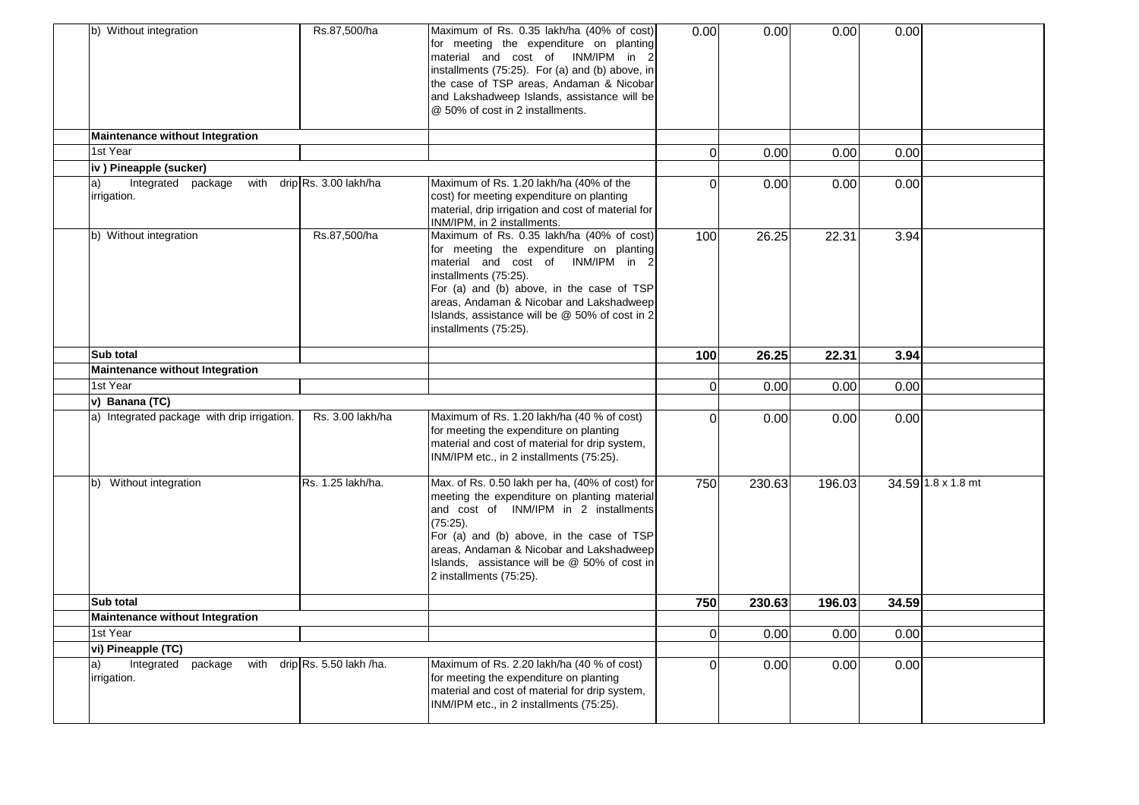| b) Without integration                      | Rs.87,500/ha                 | Maximum of Rs. 0.35 lakh/ha (40% of cost)<br>for meeting the expenditure on planting<br>material and cost of INM/IPM in 2<br>installments (75:25). For (a) and (b) above, in<br>the case of TSP areas, Andaman & Nicobar<br>and Lakshadweep Islands, assistance will be<br>@ 50% of cost in 2 installments.              | 0.00     | 0.00   | 0.00   | 0.00  |                    |
|---------------------------------------------|------------------------------|--------------------------------------------------------------------------------------------------------------------------------------------------------------------------------------------------------------------------------------------------------------------------------------------------------------------------|----------|--------|--------|-------|--------------------|
| <b>Maintenance without Integration</b>      |                              |                                                                                                                                                                                                                                                                                                                          |          |        |        |       |                    |
| 1st Year                                    |                              |                                                                                                                                                                                                                                                                                                                          | $\Omega$ | 0.00   | 0.00   | 0.00  |                    |
| iv) Pineapple (sucker)                      |                              |                                                                                                                                                                                                                                                                                                                          |          |        |        |       |                    |
| Integrated package<br>a)<br>irrigation.     | with drip Rs. 3.00 lakh/ha   | Maximum of Rs. 1.20 lakh/ha (40% of the<br>cost) for meeting expenditure on planting<br>material, drip irrigation and cost of material for<br>INM/IPM, in 2 installments.                                                                                                                                                | $\Omega$ | 0.00   | 0.00   | 0.00  |                    |
| b) Without integration                      | Rs.87,500/ha                 | Maximum of Rs. 0.35 lakh/ha (40% of cost)<br>for meeting the expenditure on planting<br>material and cost of INM/IPM in 2<br>installments (75:25).<br>For (a) and (b) above, in the case of TSP<br>areas, Andaman & Nicobar and Lakshadweep<br>Islands, assistance will be @ 50% of cost in 2<br>installments (75:25).   | 100      | 26.25  | 22.31  | 3.94  |                    |
| Sub total                                   |                              |                                                                                                                                                                                                                                                                                                                          | 100      | 26.25  | 22.31  | 3.94  |                    |
| <b>Maintenance without Integration</b>      |                              |                                                                                                                                                                                                                                                                                                                          |          |        |        |       |                    |
| 1st Year                                    |                              |                                                                                                                                                                                                                                                                                                                          | $\Omega$ | 0.00   | 0.00   | 0.00  |                    |
| v) Banana (TC)                              |                              |                                                                                                                                                                                                                                                                                                                          |          |        |        |       |                    |
| a) Integrated package with drip irrigation. | Rs. 3.00 lakh/ha             | Maximum of Rs. 1.20 lakh/ha (40 % of cost)<br>for meeting the expenditure on planting<br>material and cost of material for drip system,<br>INM/IPM etc., in 2 installments (75:25).                                                                                                                                      | $\Omega$ | 0.00   | 0.00   | 0.00  |                    |
| b) Without integration                      | Rs. 1.25 lakh/ha.            | Max. of Rs. 0.50 lakh per ha, (40% of cost) for<br>meeting the expenditure on planting material<br>and cost of INM/IPM in 2 installments<br>(75.25).<br>For (a) and (b) above, in the case of TSP<br>areas, Andaman & Nicobar and Lakshadweep<br>Islands, assistance will be @ 50% of cost in<br>2 installments (75:25). | 750      | 230.63 | 196.03 |       | 34.59 1.8 x 1.8 mt |
| Sub total                                   |                              |                                                                                                                                                                                                                                                                                                                          | 750      | 230.63 | 196.03 | 34.59 |                    |
| Maintenance without Integration             |                              |                                                                                                                                                                                                                                                                                                                          |          |        |        |       |                    |
| 1st Year                                    |                              |                                                                                                                                                                                                                                                                                                                          | $\Omega$ | 0.00   | 0.00   | 0.00  |                    |
| vi) Pineapple (TC)                          |                              |                                                                                                                                                                                                                                                                                                                          |          |        |        |       |                    |
| Integrated<br>package<br>a)<br>irrigation.  | with drip Rs. 5.50 lakh /ha. | Maximum of Rs. 2.20 lakh/ha (40 % of cost)<br>for meeting the expenditure on planting<br>material and cost of material for drip system,<br>INM/IPM etc., in 2 installments (75:25).                                                                                                                                      | $\Omega$ | 0.00   | 0.00   | 0.00  |                    |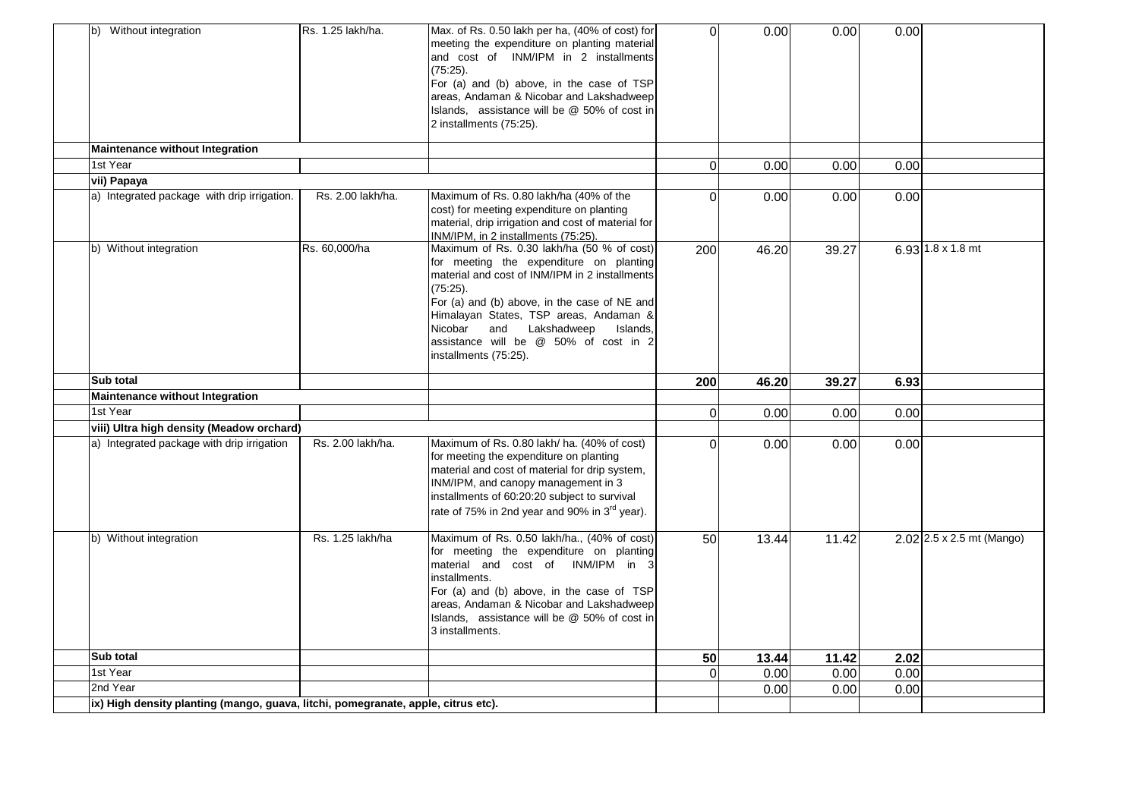| b) Without integration                      | Rs. 1.25 lakh/ha. | Max. of Rs. 0.50 lakh per ha, (40% of cost) for<br>meeting the expenditure on planting material<br>and cost of INM/IPM in 2 installments<br>(75.25).<br>For (a) and (b) above, in the case of TSP<br>areas, Andaman & Nicobar and Lakshadweep<br>Islands, assistance will be @ 50% of cost in<br>2 installments (75:25).                                  | $\Omega$ | 0.00  | 0.00  | 0.00 |                             |
|---------------------------------------------|-------------------|-----------------------------------------------------------------------------------------------------------------------------------------------------------------------------------------------------------------------------------------------------------------------------------------------------------------------------------------------------------|----------|-------|-------|------|-----------------------------|
| <b>Maintenance without Integration</b>      |                   |                                                                                                                                                                                                                                                                                                                                                           |          |       |       |      |                             |
| 1st Year                                    |                   |                                                                                                                                                                                                                                                                                                                                                           | $\Omega$ | 0.00  | 0.00  | 0.00 |                             |
| vii) Papaya                                 |                   |                                                                                                                                                                                                                                                                                                                                                           |          |       |       |      |                             |
| a) Integrated package with drip irrigation. | Rs. 2.00 lakh/ha. | Maximum of Rs. 0.80 lakh/ha (40% of the<br>cost) for meeting expenditure on planting<br>material, drip irrigation and cost of material for<br>INM/IPM, in 2 installments (75:25).                                                                                                                                                                         | $\Omega$ | 0.00  | 0.00  | 0.00 |                             |
| b) Without integration                      | Rs. 60,000/ha     | Maximum of Rs. 0.30 lakh/ha (50 % of cost)<br>for meeting the expenditure on planting<br>material and cost of INM/IPM in 2 installments<br>(75:25).<br>For (a) and (b) above, in the case of NE and<br>Himalayan States, TSP areas, Andaman &<br>Nicobar<br>and Lakshadweep<br>Islands,<br>assistance will be @ 50% of cost in 2<br>installments (75:25). | 200      | 46.20 | 39.27 |      | 6.93 $1.8 \times 1.8$ mt    |
| Sub total                                   |                   |                                                                                                                                                                                                                                                                                                                                                           | 200      | 46.20 | 39.27 | 6.93 |                             |
| <b>Maintenance without Integration</b>      |                   |                                                                                                                                                                                                                                                                                                                                                           |          |       |       |      |                             |
|                                             |                   |                                                                                                                                                                                                                                                                                                                                                           |          |       |       |      |                             |
| 1st Year                                    |                   |                                                                                                                                                                                                                                                                                                                                                           | $\Omega$ | 0.00  | 0.00  | 0.00 |                             |
| viii) Ultra high density (Meadow orchard)   |                   |                                                                                                                                                                                                                                                                                                                                                           |          |       |       |      |                             |
| a) Integrated package with drip irrigation  | Rs. 2.00 lakh/ha. | Maximum of Rs. 0.80 lakh/ ha. (40% of cost)<br>for meeting the expenditure on planting<br>material and cost of material for drip system,<br>INM/IPM, and canopy management in 3<br>installments of 60:20:20 subject to survival<br>rate of 75% in 2nd year and 90% in 3 <sup>rd</sup> year).                                                              | $\Omega$ | 0.00  | 0.00  | 0.00 |                             |
| b) Without integration                      | Rs. 1.25 lakh/ha  | Maximum of Rs. 0.50 lakh/ha., (40% of cost)<br>for meeting the expenditure on planting<br>material and cost of INM/IPM in 3<br>installments.<br>For (a) and (b) above, in the case of TSP<br>areas, Andaman & Nicobar and Lakshadweep<br>Islands, assistance will be @ 50% of cost in<br>3 installments.                                                  | 50       | 13.44 | 11.42 |      | $2.02$ 2.5 x 2.5 mt (Mango) |
| Sub total                                   |                   |                                                                                                                                                                                                                                                                                                                                                           | 50       | 13.44 | 11.42 | 2.02 |                             |
| 1st Year                                    |                   |                                                                                                                                                                                                                                                                                                                                                           | $\Omega$ | 0.00  | 0.00  | 0.00 |                             |
| 2nd Year                                    |                   |                                                                                                                                                                                                                                                                                                                                                           |          | 0.00  | 0.00  | 0.00 |                             |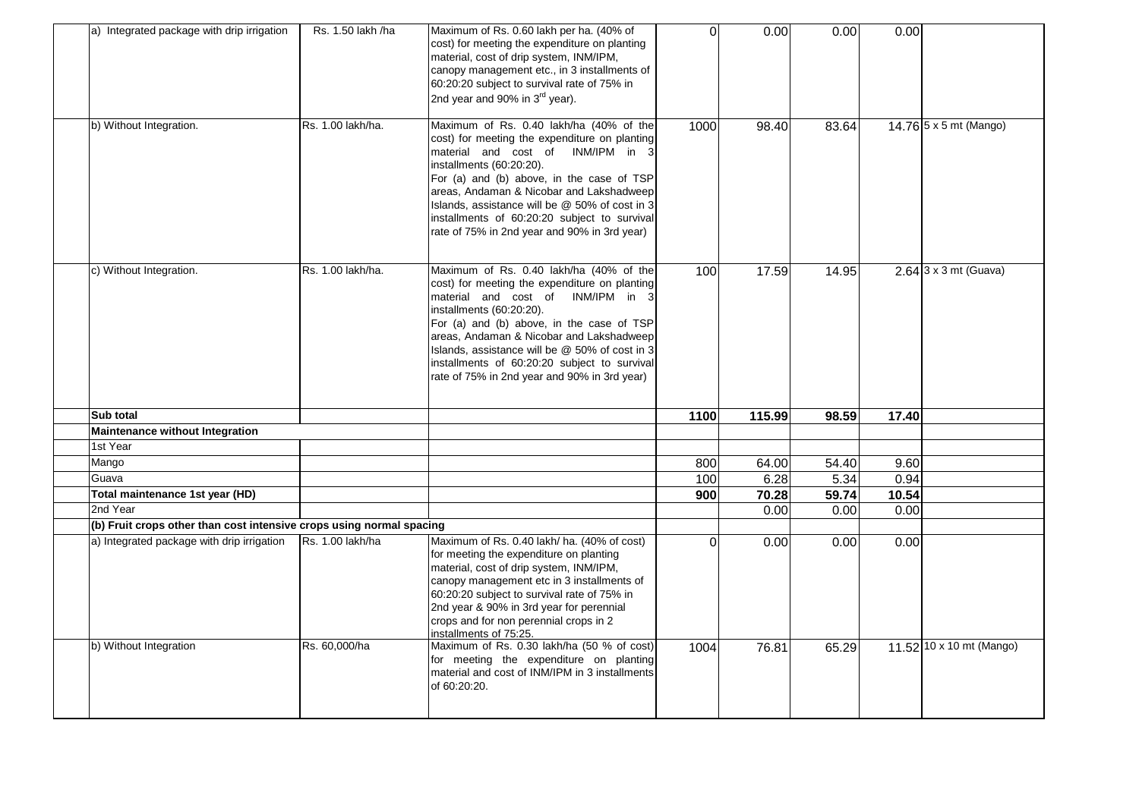| a) Integrated package with drip irrigation                           | Rs. 1.50 lakh /ha | Maximum of Rs. 0.60 lakh per ha. (40% of<br>cost) for meeting the expenditure on planting<br>material, cost of drip system, INM/IPM,<br>canopy management etc., in 3 installments of<br>60:20:20 subject to survival rate of 75% in<br>2nd year and 90% in 3 <sup>rd</sup> year).                                                                                                                    | $\Omega$ | 0.00   | 0.00  | 0.00                     |
|----------------------------------------------------------------------|-------------------|------------------------------------------------------------------------------------------------------------------------------------------------------------------------------------------------------------------------------------------------------------------------------------------------------------------------------------------------------------------------------------------------------|----------|--------|-------|--------------------------|
| b) Without Integration.                                              | Rs. 1.00 lakh/ha. | Maximum of Rs. 0.40 lakh/ha (40% of the<br>cost) for meeting the expenditure on planting<br>material and cost of INM/IPM in 3<br>installments (60:20:20).<br>For (a) and (b) above, in the case of TSP<br>areas, Andaman & Nicobar and Lakshadweep<br>Islands, assistance will be @ 50% of cost in 3<br>installments of 60:20:20 subject to survival<br>rate of 75% in 2nd year and 90% in 3rd year) | 1000     | 98.40  | 83.64 | 14.76 5 x 5 mt (Mango)   |
| c) Without Integration.                                              | Rs. 1.00 lakh/ha. | Maximum of Rs. 0.40 lakh/ha (40% of the<br>cost) for meeting the expenditure on planting<br>material and cost of INM/IPM in 3<br>installments (60:20:20).<br>For (a) and (b) above, in the case of TSP<br>areas, Andaman & Nicobar and Lakshadweep<br>Islands, assistance will be @ 50% of cost in 3<br>installments of 60:20:20 subject to survival<br>rate of 75% in 2nd year and 90% in 3rd year) | 100      | 17.59  | 14.95 | $2.64$ 3 x 3 mt (Guava)  |
| Sub total                                                            |                   |                                                                                                                                                                                                                                                                                                                                                                                                      | 1100     | 115.99 | 98.59 | 17.40                    |
| <b>Maintenance without Integration</b>                               |                   |                                                                                                                                                                                                                                                                                                                                                                                                      |          |        |       |                          |
| 1st Year                                                             |                   |                                                                                                                                                                                                                                                                                                                                                                                                      |          |        |       |                          |
| Mango                                                                |                   |                                                                                                                                                                                                                                                                                                                                                                                                      | 800      | 64.00  | 54.40 | 9.60                     |
| Guava                                                                |                   |                                                                                                                                                                                                                                                                                                                                                                                                      | 100      | 6.28   | 5.34  | 0.94                     |
| Total maintenance 1st year (HD)                                      |                   |                                                                                                                                                                                                                                                                                                                                                                                                      | 900      | 70.28  | 59.74 | 10.54                    |
| 2nd Year                                                             |                   |                                                                                                                                                                                                                                                                                                                                                                                                      |          | 0.00   | 0.00  | 0.00                     |
| (b) Fruit crops other than cost intensive crops using normal spacing |                   |                                                                                                                                                                                                                                                                                                                                                                                                      |          |        |       |                          |
| a) Integrated package with drip irrigation                           | Rs. 1.00 lakh/ha  | Maximum of Rs. 0.40 lakh/ ha. (40% of cost)<br>for meeting the expenditure on planting<br>material, cost of drip system, INM/IPM,<br>canopy management etc in 3 installments of<br>60:20:20 subject to survival rate of 75% in<br>2nd year & 90% in 3rd year for perennial<br>crops and for non perennial crops in 2<br>installments of 75:25.                                                       | $\Omega$ | 0.00   | 0.00  | 0.00                     |
| b) Without Integration                                               | Rs. 60,000/ha     | Maximum of Rs. 0.30 lakh/ha (50 % of cost)<br>for meeting the expenditure on planting<br>material and cost of INM/IPM in 3 installments<br>of 60:20:20.                                                                                                                                                                                                                                              | 1004     | 76.81  | 65.29 | 11.52 10 x 10 mt (Mango) |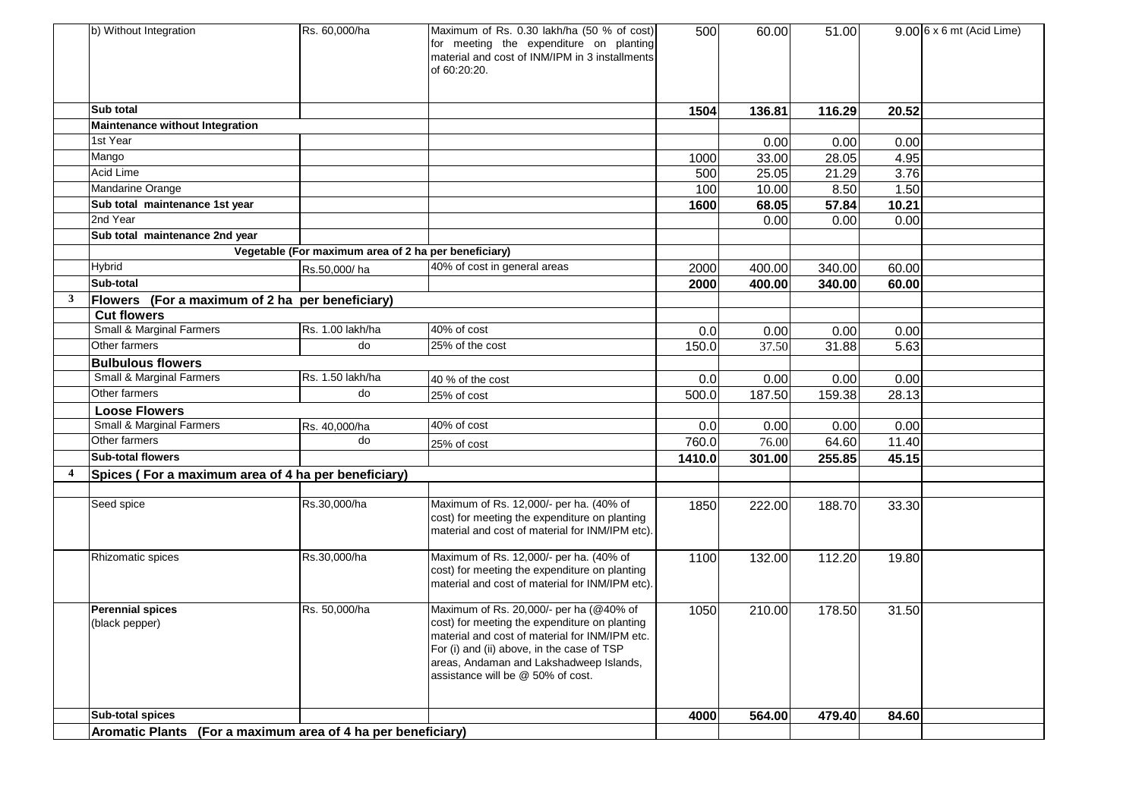|   | b) Without Integration                                       | Rs. 60,000/ha                                        | Maximum of Rs. 0.30 lakh/ha (50 % of cost)<br>for meeting the expenditure on planting<br>material and cost of INM/IPM in 3 installments<br>of 60:20:20.                                                                                                                  | 500    | 60.00  | 51.00  |       | $9.006 \times 6$ mt (Acid Lime) |
|---|--------------------------------------------------------------|------------------------------------------------------|--------------------------------------------------------------------------------------------------------------------------------------------------------------------------------------------------------------------------------------------------------------------------|--------|--------|--------|-------|---------------------------------|
|   | Sub total                                                    |                                                      |                                                                                                                                                                                                                                                                          | 1504   | 136.81 | 116.29 | 20.52 |                                 |
|   | <b>Maintenance without Integration</b>                       |                                                      |                                                                                                                                                                                                                                                                          |        |        |        |       |                                 |
|   | 1st Year                                                     |                                                      |                                                                                                                                                                                                                                                                          |        | 0.00   | 0.00   | 0.00  |                                 |
|   | Mango                                                        |                                                      |                                                                                                                                                                                                                                                                          | 1000   | 33.00  | 28.05  | 4.95  |                                 |
|   | Acid Lime                                                    |                                                      |                                                                                                                                                                                                                                                                          | 500    | 25.05  | 21.29  | 3.76  |                                 |
|   | Mandarine Orange                                             |                                                      |                                                                                                                                                                                                                                                                          | 100    | 10.00  | 8.50   | 1.50  |                                 |
|   | Sub total maintenance 1st year                               |                                                      |                                                                                                                                                                                                                                                                          | 1600   | 68.05  | 57.84  | 10.21 |                                 |
|   | 2nd Year                                                     |                                                      |                                                                                                                                                                                                                                                                          |        | 0.00   | 0.00   | 0.00  |                                 |
|   | Sub total maintenance 2nd year                               |                                                      |                                                                                                                                                                                                                                                                          |        |        |        |       |                                 |
|   |                                                              | Vegetable (For maximum area of 2 ha per beneficiary) |                                                                                                                                                                                                                                                                          |        |        |        |       |                                 |
|   | <b>Hybrid</b>                                                | Rs.50,000/ha                                         | 40% of cost in general areas                                                                                                                                                                                                                                             | 2000   | 400.00 | 340.00 | 60.00 |                                 |
|   | Sub-total                                                    |                                                      |                                                                                                                                                                                                                                                                          | 2000   | 400.00 | 340.00 | 60.00 |                                 |
| 3 | Flowers (For a maximum of 2 ha per beneficiary)              |                                                      |                                                                                                                                                                                                                                                                          |        |        |        |       |                                 |
|   | <b>Cut flowers</b>                                           |                                                      |                                                                                                                                                                                                                                                                          |        |        |        |       |                                 |
|   | <b>Small &amp; Marginal Farmers</b>                          | Rs. 1.00 lakh/ha                                     | 40% of cost                                                                                                                                                                                                                                                              | 0.0    | 0.00   | 0.00   | 0.00  |                                 |
|   | Other farmers                                                | do                                                   | 25% of the cost                                                                                                                                                                                                                                                          | 150.0  | 37.50  | 31.88  | 5.63  |                                 |
|   | <b>Bulbulous flowers</b>                                     |                                                      |                                                                                                                                                                                                                                                                          |        |        |        |       |                                 |
|   | <b>Small &amp; Marginal Farmers</b>                          | Rs. 1.50 lakh/ha                                     | 40 % of the cost                                                                                                                                                                                                                                                         | 0.0    | 0.00   | 0.00   | 0.00  |                                 |
|   | Other farmers                                                | do                                                   | 25% of cost                                                                                                                                                                                                                                                              | 500.0  | 187.50 | 159.38 | 28.13 |                                 |
|   | <b>Loose Flowers</b>                                         |                                                      |                                                                                                                                                                                                                                                                          |        |        |        |       |                                 |
|   | Small & Marginal Farmers                                     | Rs. 40,000/ha                                        | 40% of cost                                                                                                                                                                                                                                                              | 0.0    | 0.00   | 0.00   | 0.00  |                                 |
|   | Other farmers                                                | do                                                   | 25% of cost                                                                                                                                                                                                                                                              | 760.0  | 76.00  | 64.60  | 11.40 |                                 |
|   | <b>Sub-total flowers</b>                                     |                                                      |                                                                                                                                                                                                                                                                          | 1410.0 | 301.00 | 255.85 | 45.15 |                                 |
| 4 | Spices (For a maximum area of 4 ha per beneficiary)          |                                                      |                                                                                                                                                                                                                                                                          |        |        |        |       |                                 |
|   |                                                              |                                                      |                                                                                                                                                                                                                                                                          |        |        |        |       |                                 |
|   | Seed spice                                                   | Rs.30,000/ha                                         | Maximum of Rs. 12,000/- per ha. (40% of<br>cost) for meeting the expenditure on planting<br>material and cost of material for INM/IPM etc).                                                                                                                              | 1850   | 222.00 | 188.70 | 33.30 |                                 |
|   | Rhizomatic spices                                            | Rs.30,000/ha                                         | Maximum of Rs. 12,000/- per ha. (40% of<br>cost) for meeting the expenditure on planting<br>material and cost of material for INM/IPM etc).                                                                                                                              | 1100   | 132.00 | 112.20 | 19.80 |                                 |
|   | <b>Perennial spices</b><br>(black pepper)                    | Rs. 50,000/ha                                        | Maximum of Rs. 20,000/- per ha (@40% of<br>cost) for meeting the expenditure on planting<br>material and cost of material for INM/IPM etc.<br>For (i) and (ii) above, in the case of TSP<br>areas, Andaman and Lakshadweep Islands,<br>assistance will be @ 50% of cost. | 1050   | 210.00 | 178.50 | 31.50 |                                 |
|   | <b>Sub-total spices</b>                                      |                                                      |                                                                                                                                                                                                                                                                          | 4000   | 564.00 | 479.40 | 84.60 |                                 |
|   | Aromatic Plants (For a maximum area of 4 ha per beneficiary) |                                                      |                                                                                                                                                                                                                                                                          |        |        |        |       |                                 |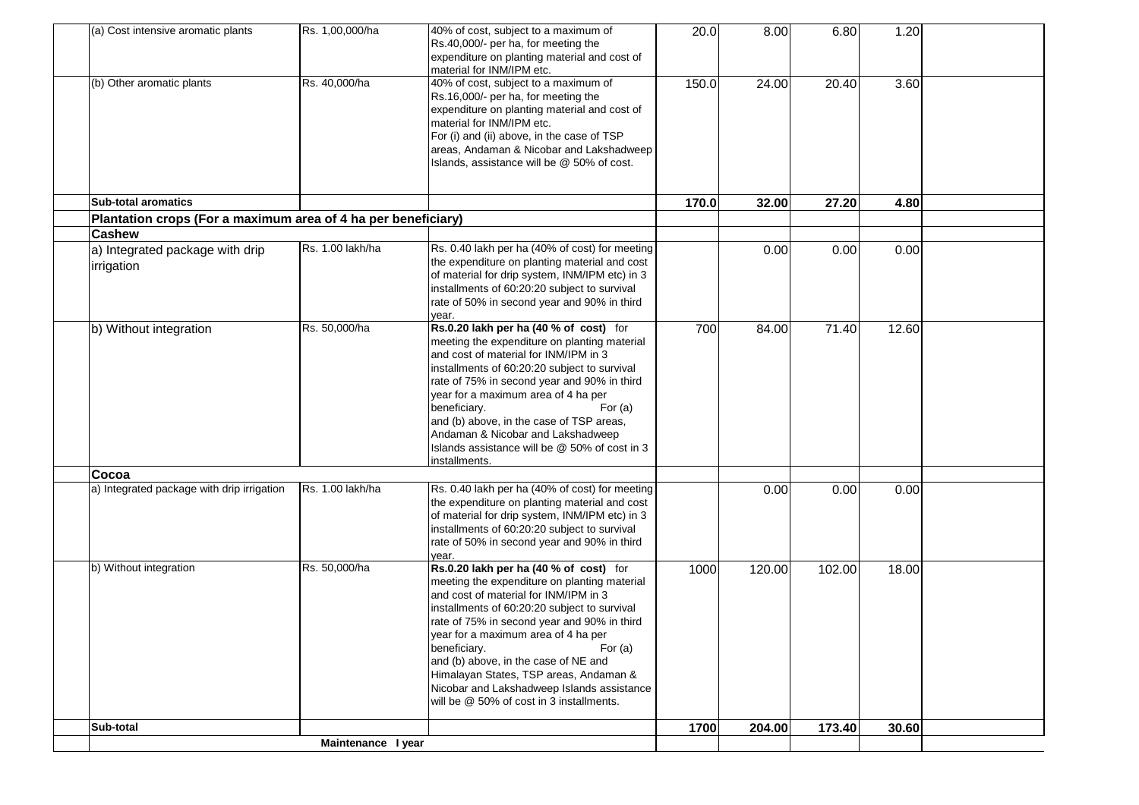| (a) Cost intensive aromatic plants                            | Rs. 1,00,000/ha    | 40% of cost, subject to a maximum of<br>Rs.40,000/- per ha, for meeting the<br>expenditure on planting material and cost of<br>material for INM/IPM etc.                                                                                                                                                                                                                                                                                                                       | 20.0  | 8.00   | 6.80   | 1.20  |  |
|---------------------------------------------------------------|--------------------|--------------------------------------------------------------------------------------------------------------------------------------------------------------------------------------------------------------------------------------------------------------------------------------------------------------------------------------------------------------------------------------------------------------------------------------------------------------------------------|-------|--------|--------|-------|--|
| (b) Other aromatic plants                                     | Rs. 40,000/ha      | 40% of cost, subject to a maximum of<br>Rs.16,000/- per ha, for meeting the<br>expenditure on planting material and cost of<br>material for INM/IPM etc.<br>For (i) and (ii) above, in the case of TSP<br>areas, Andaman & Nicobar and Lakshadweep<br>Islands, assistance will be @ 50% of cost.                                                                                                                                                                               | 150.0 | 24.00  | 20.40  | 3.60  |  |
| <b>Sub-total aromatics</b>                                    |                    |                                                                                                                                                                                                                                                                                                                                                                                                                                                                                | 170.0 | 32.00  | 27.20  | 4.80  |  |
| Plantation crops (For a maximum area of 4 ha per beneficiary) |                    |                                                                                                                                                                                                                                                                                                                                                                                                                                                                                |       |        |        |       |  |
| <b>Cashew</b>                                                 |                    |                                                                                                                                                                                                                                                                                                                                                                                                                                                                                |       |        |        |       |  |
| a) Integrated package with drip<br>irrigation                 | Rs. 1.00 lakh/ha   | Rs. 0.40 lakh per ha (40% of cost) for meeting<br>the expenditure on planting material and cost<br>of material for drip system, INM/IPM etc) in 3<br>installments of 60:20:20 subject to survival<br>rate of 50% in second year and 90% in third<br>year.                                                                                                                                                                                                                      |       | 0.00   | 0.00   | 0.00  |  |
| b) Without integration                                        | Rs. 50,000/ha      | Rs.0.20 lakh per ha (40 % of cost) for<br>meeting the expenditure on planting material<br>and cost of material for INM/IPM in 3<br>installments of 60:20:20 subject to survival<br>rate of 75% in second year and 90% in third<br>year for a maximum area of 4 ha per<br>beneficiary.<br>For $(a)$<br>and (b) above, in the case of TSP areas,<br>Andaman & Nicobar and Lakshadweep<br>Islands assistance will be @ 50% of cost in 3<br>installments.                          | 700   | 84.00  | 71.40  | 12.60 |  |
| Cocoa                                                         |                    |                                                                                                                                                                                                                                                                                                                                                                                                                                                                                |       |        |        |       |  |
| a) Integrated package with drip irrigation                    | Rs. 1.00 lakh/ha   | Rs. 0.40 lakh per ha (40% of cost) for meeting<br>the expenditure on planting material and cost<br>of material for drip system, INM/IPM etc) in 3<br>installments of 60:20:20 subject to survival<br>rate of 50% in second year and 90% in third<br>year.                                                                                                                                                                                                                      |       | 0.00   | 0.00   | 0.00  |  |
| b) Without integration                                        | Rs. 50,000/ha      | Rs.0.20 lakh per ha (40 % of cost) for<br>meeting the expenditure on planting material<br>and cost of material for INM/IPM in 3<br>installments of 60:20:20 subject to survival<br>rate of 75% in second year and 90% in third<br>year for a maximum area of 4 ha per<br>beneficiary.<br>For $(a)$<br>and (b) above, in the case of NE and<br>Himalayan States, TSP areas, Andaman &<br>Nicobar and Lakshadweep Islands assistance<br>will be @ 50% of cost in 3 installments. | 1000  | 120.00 | 102.00 | 18.00 |  |
| Sub-total                                                     |                    |                                                                                                                                                                                                                                                                                                                                                                                                                                                                                | 1700  | 204.00 | 173.40 | 30.60 |  |
|                                                               | Maintenance I year |                                                                                                                                                                                                                                                                                                                                                                                                                                                                                |       |        |        |       |  |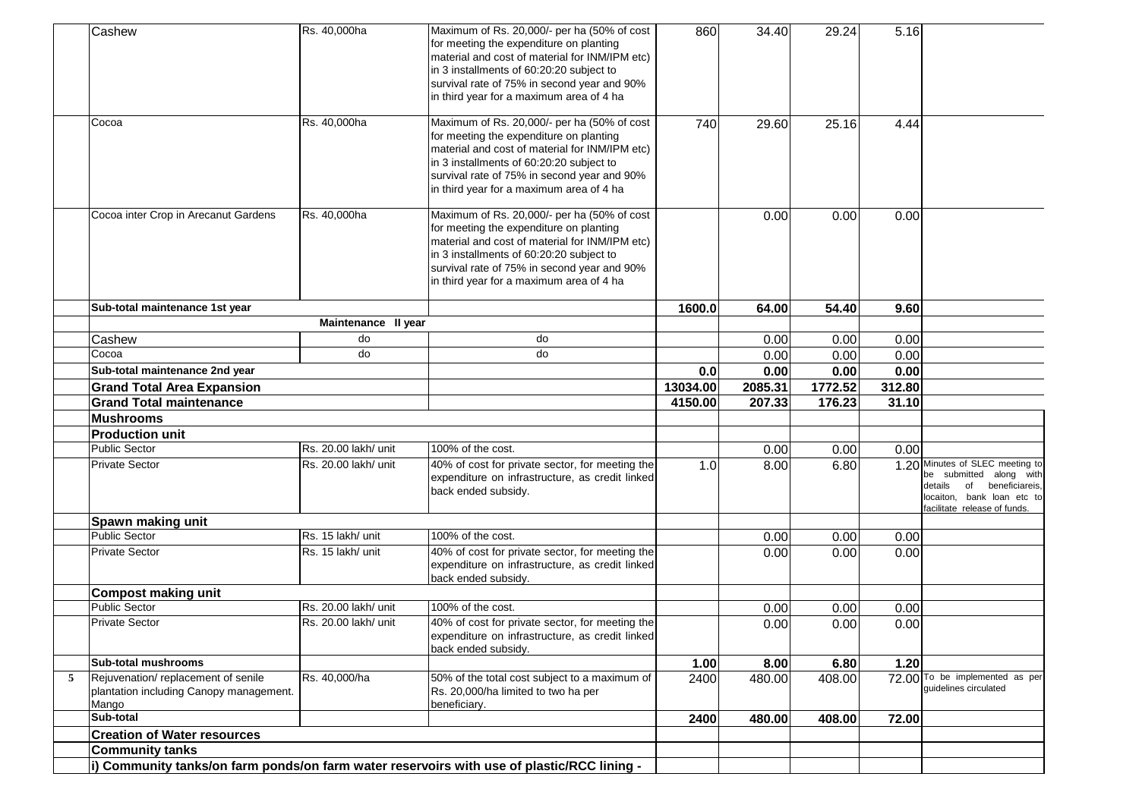| Cashew                                                                                      | Rs. 40,000ha         | Maximum of Rs. 20,000/- per ha (50% of cost<br>for meeting the expenditure on planting<br>material and cost of material for INM/IPM etc)<br>in 3 installments of 60:20:20 subject to<br>survival rate of 75% in second year and 90%<br>in third year for a maximum area of 4 ha | 860      | 34.40   | 29.24   | 5.16   |                                                                                                                                                          |
|---------------------------------------------------------------------------------------------|----------------------|---------------------------------------------------------------------------------------------------------------------------------------------------------------------------------------------------------------------------------------------------------------------------------|----------|---------|---------|--------|----------------------------------------------------------------------------------------------------------------------------------------------------------|
| Cocoa                                                                                       | Rs. 40,000ha         | Maximum of Rs. 20,000/- per ha (50% of cost<br>for meeting the expenditure on planting<br>material and cost of material for INM/IPM etc)<br>in 3 installments of 60:20:20 subject to<br>survival rate of 75% in second year and 90%<br>in third year for a maximum area of 4 ha | 740      | 29.60   | 25.16   | 4.44   |                                                                                                                                                          |
| Cocoa inter Crop in Arecanut Gardens                                                        | Rs. 40,000ha         | Maximum of Rs. 20,000/- per ha (50% of cost<br>for meeting the expenditure on planting<br>material and cost of material for INM/IPM etc)<br>in 3 installments of 60:20:20 subject to<br>survival rate of 75% in second year and 90%<br>in third year for a maximum area of 4 ha |          | 0.00    | 0.00    | 0.00   |                                                                                                                                                          |
| Sub-total maintenance 1st year                                                              |                      |                                                                                                                                                                                                                                                                                 | 1600.0   | 64.00   | 54.40   | 9.60   |                                                                                                                                                          |
|                                                                                             | Maintenance II year  |                                                                                                                                                                                                                                                                                 |          |         |         |        |                                                                                                                                                          |
| Cashew                                                                                      | do                   | do                                                                                                                                                                                                                                                                              |          | 0.00    | 0.00    | 0.00   |                                                                                                                                                          |
| Cocoa                                                                                       | do                   | do                                                                                                                                                                                                                                                                              |          | 0.00    | 0.00    | 0.00   |                                                                                                                                                          |
| Sub-total maintenance 2nd year                                                              |                      |                                                                                                                                                                                                                                                                                 | 0.0      | 0.00    | 0.00    | 0.00   |                                                                                                                                                          |
| <b>Grand Total Area Expansion</b>                                                           |                      |                                                                                                                                                                                                                                                                                 | 13034.00 | 2085.31 | 1772.52 | 312.80 |                                                                                                                                                          |
| <b>Grand Total maintenance</b>                                                              |                      |                                                                                                                                                                                                                                                                                 | 4150.00  | 207.33  | 176.23  | 31.10  |                                                                                                                                                          |
| <b>Mushrooms</b>                                                                            |                      |                                                                                                                                                                                                                                                                                 |          |         |         |        |                                                                                                                                                          |
| <b>Production unit</b>                                                                      |                      |                                                                                                                                                                                                                                                                                 |          |         |         |        |                                                                                                                                                          |
| <b>Public Sector</b>                                                                        | Rs. 20.00 lakh/ unit | 100% of the cost.                                                                                                                                                                                                                                                               |          | 0.00    | 0.00    | 0.00   |                                                                                                                                                          |
| <b>Private Sector</b>                                                                       | Rs. 20.00 lakh/ unit | 40% of cost for private sector, for meeting the<br>expenditure on infrastructure, as credit linked<br>back ended subsidy.                                                                                                                                                       | 1.0      | 8.00    | 6.80    |        | 1.20 Minutes of SLEC meeting to<br>be submitted along with<br>details of<br>beneficiareis,<br>locaiton, bank loan etc to<br>facilitate release of funds. |
| Spawn making unit                                                                           |                      |                                                                                                                                                                                                                                                                                 |          |         |         |        |                                                                                                                                                          |
| <b>Public Sector</b>                                                                        | Rs. 15 lakh/ unit    | 100% of the cost.                                                                                                                                                                                                                                                               |          | 0.00    | 0.00    | 0.00   |                                                                                                                                                          |
| <b>Private Sector</b>                                                                       | Rs. 15 lakh/ unit    | 40% of cost for private sector, for meeting the<br>expenditure on infrastructure, as credit linked<br>back ended subsidy.                                                                                                                                                       |          | 0.00    | 0.00    | 0.00   |                                                                                                                                                          |
| <b>Compost making unit</b>                                                                  |                      |                                                                                                                                                                                                                                                                                 |          |         |         |        |                                                                                                                                                          |
| <b>Public Sector</b>                                                                        | Rs. 20.00 lakh/ unit | 100% of the cost.                                                                                                                                                                                                                                                               |          | 0.00    | 0.00    | 0.00   |                                                                                                                                                          |
| <b>Private Sector</b>                                                                       | Rs. 20.00 lakh/ unit | 40% of cost for private sector, for meeting the<br>expenditure on infrastructure, as credit linked<br>back ended subsidy.                                                                                                                                                       |          | 0.00    | 0.00    | 0.00   |                                                                                                                                                          |
| <b>Sub-total mushrooms</b>                                                                  |                      |                                                                                                                                                                                                                                                                                 | 1.00     | 8.00    | 6.80    | 1.20   |                                                                                                                                                          |
| Rejuvenation/replacement of senile<br>5<br>plantation including Canopy management.<br>Mango | Rs. 40,000/ha        | 50% of the total cost subject to a maximum of<br>Rs. 20,000/ha limited to two ha per<br>beneficiary.                                                                                                                                                                            | 2400     | 480.00  | 408.00  |        | 72.00 To be implemented as per<br>guidelines circulated                                                                                                  |
| Sub-total                                                                                   |                      |                                                                                                                                                                                                                                                                                 | 2400     | 480.00  | 408.00  | 72.00  |                                                                                                                                                          |
| <b>Creation of Water resources</b>                                                          |                      |                                                                                                                                                                                                                                                                                 |          |         |         |        |                                                                                                                                                          |
| <b>Community tanks</b>                                                                      |                      |                                                                                                                                                                                                                                                                                 |          |         |         |        |                                                                                                                                                          |
|                                                                                             |                      | i) Community tanks/on farm ponds/on farm water reservoirs with use of plastic/RCC lining -                                                                                                                                                                                      |          |         |         |        |                                                                                                                                                          |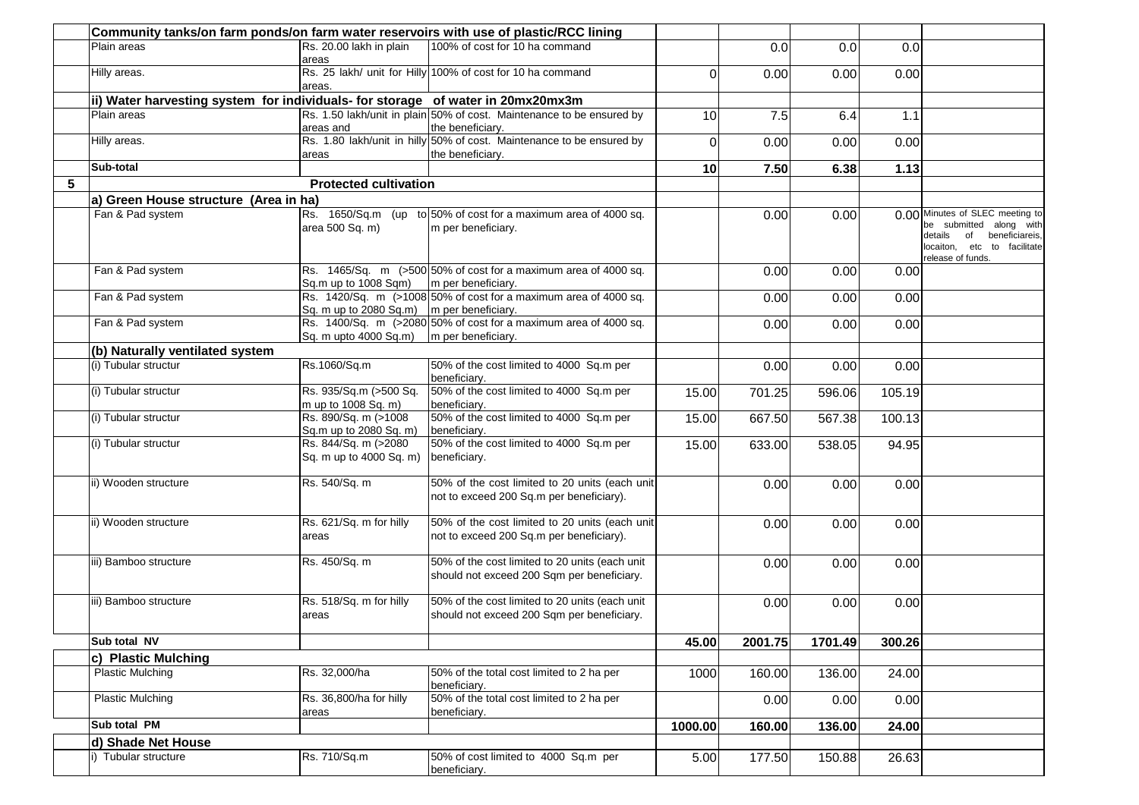|   | Community tanks/on farm ponds/on farm water reservoirs with use of plastic/RCC lining |                                                 |                                                                                              |                 |         |         |        |                                                                                                                                                |
|---|---------------------------------------------------------------------------------------|-------------------------------------------------|----------------------------------------------------------------------------------------------|-----------------|---------|---------|--------|------------------------------------------------------------------------------------------------------------------------------------------------|
|   | Plain areas                                                                           | Rs. 20.00 lakh in plain<br>areas                | 100% of cost for 10 ha command                                                               |                 | 0.0     | 0.0     | 0.0    |                                                                                                                                                |
|   | Hilly areas.                                                                          | areas.                                          | Rs. 25 lakh/ unit for Hilly 100% of cost for 10 ha command                                   | 0               | 0.00    | 0.00    | 0.00   |                                                                                                                                                |
|   | ii) Water harvesting system for individuals- for storage of water in 20mx20mx3m       |                                                 |                                                                                              |                 |         |         |        |                                                                                                                                                |
|   | Plain areas                                                                           |                                                 | Rs. 1.50 lakh/unit in plain 50% of cost. Maintenance to be ensured by                        | 10 <sup>1</sup> | 7.5     | 6.4     | 1.1    |                                                                                                                                                |
|   |                                                                                       | areas and                                       | the beneficiary.                                                                             |                 |         |         |        |                                                                                                                                                |
|   | Hilly areas.                                                                          | areas                                           | Rs. 1.80 lakh/unit in hilly 50% of cost. Maintenance to be ensured by<br>the beneficiary.    | $\Omega$        | 0.00    | 0.00    | 0.00   |                                                                                                                                                |
|   | Sub-total                                                                             |                                                 |                                                                                              | 10              | 7.50    | 6.38    | 1.13   |                                                                                                                                                |
| 5 |                                                                                       | <b>Protected cultivation</b>                    |                                                                                              |                 |         |         |        |                                                                                                                                                |
|   | a) Green House structure (Area in ha)                                                 |                                                 |                                                                                              |                 |         |         |        |                                                                                                                                                |
|   | Fan & Pad system                                                                      | area 500 Sq. m)                                 | Rs. 1650/Sq.m (up to 50% of cost for a maximum area of 4000 sq.<br>m per beneficiary.        |                 | 0.00    | 0.00    |        | 0.00 Minutes of SLEC meeting to<br>be submitted along with<br>details of<br>beneficiareis,<br>locaiton, etc to facilitate<br>release of funds. |
|   | Fan & Pad system                                                                      | Sq.m up to 1008 Sqm)                            | Rs. 1465/Sq. m (>500 50% of cost for a maximum area of 4000 sq.<br>m per beneficiary.        |                 | 0.00    | 0.00    | 0.00   |                                                                                                                                                |
|   | Fan & Pad system                                                                      | Sq. m up to 2080 Sq.m)   m per beneficiary.     | Rs. 1420/Sq. m (>1008 50% of cost for a maximum area of 4000 sq.                             |                 | 0.00    | 0.00    | 0.00   |                                                                                                                                                |
|   | Fan & Pad system                                                                      | Sq. m upto 4000 Sq.m)                           | Rs. 1400/Sq. m (>2080 50% of cost for a maximum area of 4000 sq.<br>m per beneficiary.       |                 | 0.00    | 0.00    | 0.00   |                                                                                                                                                |
|   | (b) Naturally ventilated system                                                       |                                                 |                                                                                              |                 |         |         |        |                                                                                                                                                |
|   | (i) Tubular structur                                                                  | Rs.1060/Sq.m                                    | 50% of the cost limited to 4000 Sq.m per<br>beneficiary.                                     |                 | 0.00    | 0.00    | 0.00   |                                                                                                                                                |
|   | (i) Tubular structur                                                                  | Rs. 935/Sq.m (>500 Sq.<br>m up to 1008 Sq. m)   | 50% of the cost limited to 4000 Sq.m per<br>beneficiary.                                     | 15.00           | 701.25  | 596.06  | 105.19 |                                                                                                                                                |
|   | (i) Tubular structur                                                                  | Rs. 890/Sq. m (>1008<br>Sq.m up to 2080 Sq. m)  | 50% of the cost limited to 4000 Sq.m per<br>beneficiary.                                     | 15.00           | 667.50  | 567.38  | 100.13 |                                                                                                                                                |
|   | (i) Tubular structur                                                                  | Rs. 844/Sq. m (>2080<br>Sq. m up to 4000 Sq. m) | 50% of the cost limited to 4000 Sq.m per<br>beneficiary.                                     | 15.00           | 633.00  | 538.05  | 94.95  |                                                                                                                                                |
|   | ii) Wooden structure                                                                  | Rs. 540/Sq. m                                   | 50% of the cost limited to 20 units (each unit<br>not to exceed 200 Sq.m per beneficiary).   |                 | 0.00    | 0.00    | 0.00   |                                                                                                                                                |
|   | ii) Wooden structure                                                                  | Rs. 621/Sq. m for hilly<br>areas                | 50% of the cost limited to 20 units (each unit<br>not to exceed 200 Sq.m per beneficiary).   |                 | 0.00    | 0.00    | 0.00   |                                                                                                                                                |
|   | iii) Bamboo structure                                                                 | Rs. 450/Sq. m                                   | 50% of the cost limited to 20 units (each unit<br>should not exceed 200 Sqm per beneficiary. |                 | 0.00    | 0.00    | 0.00   |                                                                                                                                                |
|   | iii) Bamboo structure                                                                 | Rs. 518/Sq. m for hilly<br>areas                | 50% of the cost limited to 20 units (each unit<br>should not exceed 200 Sqm per beneficiary. |                 | 0.00    | 0.00    | 0.00   |                                                                                                                                                |
|   | Sub total NV                                                                          |                                                 |                                                                                              | 45.00           | 2001.75 | 1701.49 | 300.26 |                                                                                                                                                |
|   | c) Plastic Mulching                                                                   |                                                 |                                                                                              |                 |         |         |        |                                                                                                                                                |
|   | <b>Plastic Mulching</b>                                                               | Rs. 32,000/ha                                   | 50% of the total cost limited to 2 ha per<br>beneficiary.                                    | 1000            | 160.00  | 136.00  | 24.00  |                                                                                                                                                |
|   | <b>Plastic Mulching</b>                                                               | Rs. 36,800/ha for hilly<br>areas                | 50% of the total cost limited to 2 ha per<br>beneficiary.                                    |                 | 0.00    | 0.00    | 0.00   |                                                                                                                                                |
|   | Sub total PM                                                                          |                                                 |                                                                                              | 1000.00         | 160.00  | 136.00  | 24.00  |                                                                                                                                                |
|   | d) Shade Net House                                                                    |                                                 |                                                                                              |                 |         |         |        |                                                                                                                                                |
|   | i) Tubular structure                                                                  | Rs. 710/Sq.m                                    | 50% of cost limited to 4000 Sq.m per<br>beneficiary.                                         | 5.00            | 177.50  | 150.88  | 26.63  |                                                                                                                                                |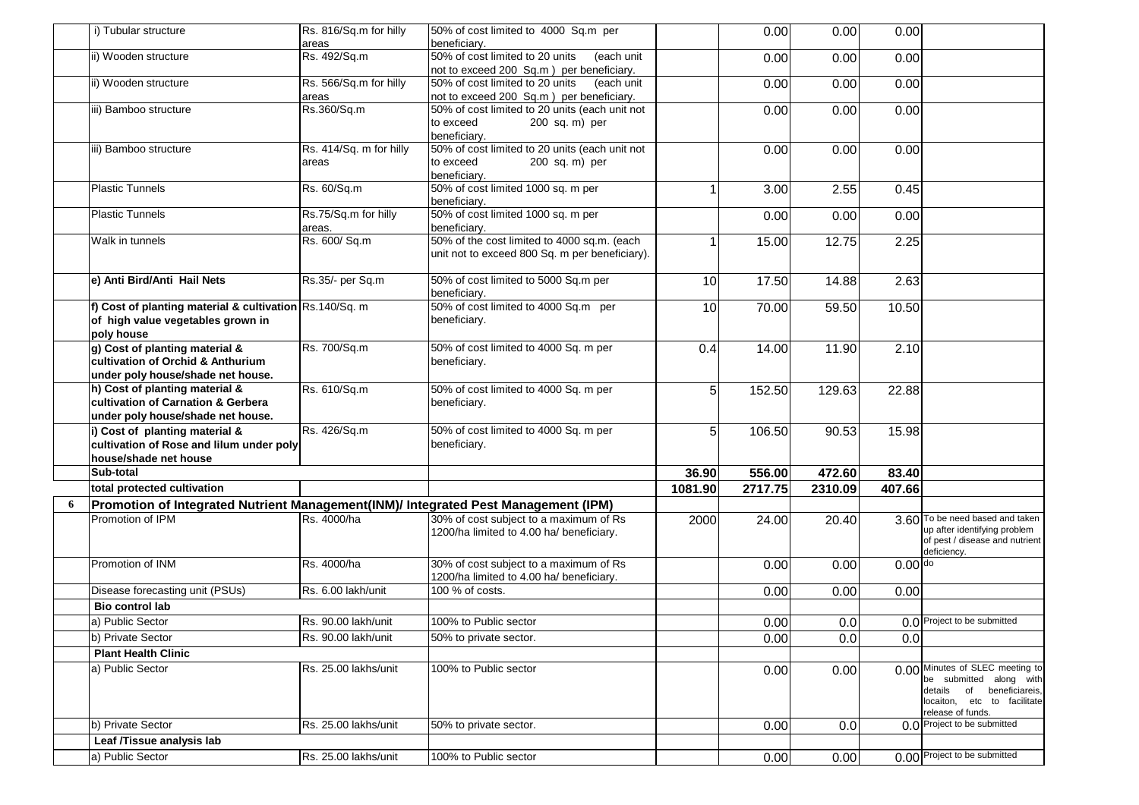|   | i) Tubular structure                                                                                       | Rs. 816/Sq.m for hilly<br>areas  | 50% of cost limited to 4000 Sq.m per<br>beneficiary.                                          |         | 0.00    | 0.00    | 0.00      |                                                                                                                                             |
|---|------------------------------------------------------------------------------------------------------------|----------------------------------|-----------------------------------------------------------------------------------------------|---------|---------|---------|-----------|---------------------------------------------------------------------------------------------------------------------------------------------|
|   | ii) Wooden structure                                                                                       | Rs. 492/Sq.m                     | 50% of cost limited to 20 units<br>(each unit<br>not to exceed 200 Sq.m) per beneficiary.     |         | 0.00    | 0.00    | 0.00      |                                                                                                                                             |
|   | ii) Wooden structure                                                                                       | Rs. 566/Sq.m for hilly<br>areas  | 50% of cost limited to 20 units<br>(each unit<br>not to exceed 200 Sq.m ) per beneficiary.    |         | 0.00    | 0.00    | 0.00      |                                                                                                                                             |
|   | iii) Bamboo structure                                                                                      | Rs.360/Sq.m                      | 50% of cost limited to 20 units (each unit not<br>to exceed<br>200 sq. m) per<br>beneficiary. |         | 0.00    | 0.00    | 0.00      |                                                                                                                                             |
|   | iii) Bamboo structure                                                                                      | Rs. 414/Sq. m for hilly<br>areas | 50% of cost limited to 20 units (each unit not<br>to exceed<br>200 sq. m) per<br>beneficiarv. |         | 0.00    | 0.00    | 0.00      |                                                                                                                                             |
|   | <b>Plastic Tunnels</b>                                                                                     | Rs. 60/Sq.m                      | 50% of cost limited 1000 sq. m per<br>beneficiary.                                            |         | 3.00    | 2.55    | 0.45      |                                                                                                                                             |
|   | <b>Plastic Tunnels</b>                                                                                     | Rs.75/Sq.m for hilly<br>areas.   | 50% of cost limited 1000 sq. m per<br>beneficiary.                                            |         | 0.00    | 0.00    | 0.00      |                                                                                                                                             |
|   | Walk in tunnels                                                                                            | Rs. 600/ Sq.m                    | 50% of the cost limited to 4000 sq.m. (each<br>unit not to exceed 800 Sq. m per beneficiary). |         | 15.00   | 12.75   | 2.25      |                                                                                                                                             |
|   | e) Anti Bird/Anti Hail Nets                                                                                | Rs.35/- per Sq.m                 | 50% of cost limited to 5000 Sq.m per<br>beneficiary.                                          | 10      | 17.50   | 14.88   | 2.63      |                                                                                                                                             |
|   | f) Cost of planting material & cultivation Rs.140/Sq. m<br>of high value vegetables grown in<br>poly house |                                  | 50% of cost limited to 4000 Sq.m per<br>beneficiary.                                          | 10      | 70.00   | 59.50   | 10.50     |                                                                                                                                             |
|   | g) Cost of planting material &<br>cultivation of Orchid & Anthurium<br>under poly house/shade net house.   | Rs. 700/Sq.m                     | 50% of cost limited to 4000 Sq. m per<br>beneficiary.                                         | 0.4     | 14.00   | 11.90   | 2.10      |                                                                                                                                             |
|   | h) Cost of planting material &<br>cultivation of Carnation & Gerbera<br>under poly house/shade net house.  | Rs. 610/Sq.m                     | 50% of cost limited to 4000 Sq. m per<br>beneficiary.                                         | 5       | 152.50  | 129.63  | 22.88     |                                                                                                                                             |
|   | i) Cost of planting material &<br>cultivation of Rose and lilum under poly<br>house/shade net house        | Rs. 426/Sq.m                     | 50% of cost limited to 4000 Sq. m per<br>beneficiary.                                         | 5       | 106.50  | 90.53   | 15.98     |                                                                                                                                             |
|   | Sub-total                                                                                                  |                                  |                                                                                               | 36.90   | 556.00  | 472.60  | 83.40     |                                                                                                                                             |
|   | total protected cultivation                                                                                |                                  |                                                                                               | 1081.90 | 2717.75 | 2310.09 | 407.66    |                                                                                                                                             |
| 6 | Promotion of Integrated Nutrient Management(INM)/ Integrated Pest Management (IPM)                         |                                  |                                                                                               |         |         |         |           |                                                                                                                                             |
|   | Promotion of IPM                                                                                           | Rs. 4000/ha                      | 30% of cost subject to a maximum of Rs<br>1200/ha limited to 4.00 ha/ beneficiary.            | 2000    | 24.00   | 20.40   |           | 3.60 To be need based and taken<br>up after identifying problem<br>of pest / disease and nutrient<br>deficiency.                            |
|   | Promotion of INM                                                                                           | Rs. 4000/ha                      | 30% of cost subject to a maximum of Rs<br>1200/ha limited to 4.00 ha/ beneficiary.            |         | 0.00    | 0.00    | $0.00$ do |                                                                                                                                             |
|   | Disease forecasting unit (PSUs)                                                                            | Rs. 6.00 lakh/unit               | 100 % of costs.                                                                               |         | 0.00    | 0.00    | 0.00      |                                                                                                                                             |
|   | <b>Bio control lab</b>                                                                                     |                                  |                                                                                               |         |         |         |           |                                                                                                                                             |
|   | a) Public Sector                                                                                           | Rs. 90.00 lakh/unit              | 100% to Public sector                                                                         |         | 0.00    | 0.0     |           | 0.0 Project to be submitted                                                                                                                 |
|   | b) Private Sector                                                                                          | Rs. 90.00 lakh/unit              | 50% to private sector.                                                                        |         | 0.00    | 0.0     | 0.0       |                                                                                                                                             |
|   | <b>Plant Health Clinic</b>                                                                                 |                                  |                                                                                               |         |         |         |           |                                                                                                                                             |
|   | a) Public Sector                                                                                           | Rs. 25.00 lakhs/unit             | 100% to Public sector                                                                         |         | 0.00    | 0.00    |           | 0.00 Minutes of SLEC meeting to<br>be submitted along with<br>details of beneficiareis,<br>locaiton, etc to facilitate<br>release of funds. |
|   | b) Private Sector                                                                                          | Rs. 25.00 lakhs/unit             | 50% to private sector.                                                                        |         | 0.00    | 0.0     |           | 0.0 Project to be submitted                                                                                                                 |
|   | Leaf /Tissue analysis lab                                                                                  |                                  |                                                                                               |         |         |         |           |                                                                                                                                             |
|   | a) Public Sector                                                                                           | Rs. 25.00 lakhs/unit             | 100% to Public sector                                                                         |         | 0.00    | 0.00    |           | 0.00 Project to be submitted                                                                                                                |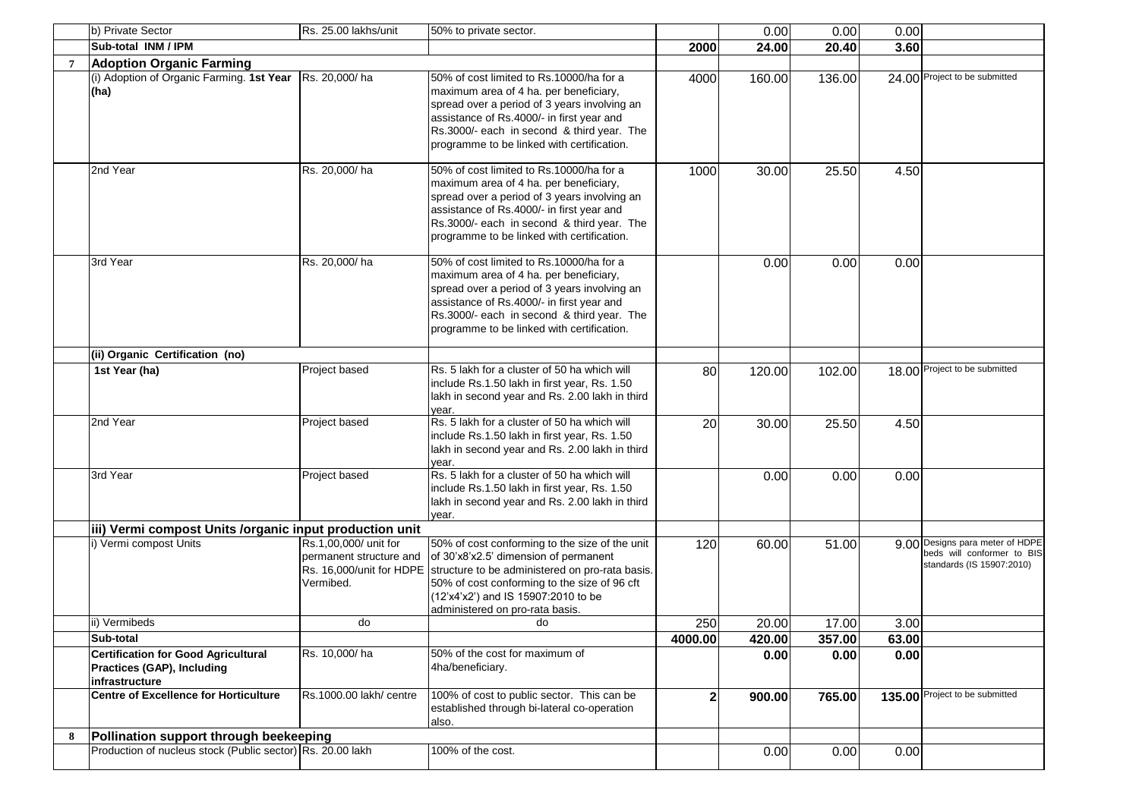|   | b) Private Sector                                                                                 | Rs. 25.00 lakhs/unit                                                                      | 50% to private sector.                                                                                                                                                                                                                                                      |                | 0.00   | 0.00   | 0.00  |                                                                                            |
|---|---------------------------------------------------------------------------------------------------|-------------------------------------------------------------------------------------------|-----------------------------------------------------------------------------------------------------------------------------------------------------------------------------------------------------------------------------------------------------------------------------|----------------|--------|--------|-------|--------------------------------------------------------------------------------------------|
|   | Sub-total INM / IPM                                                                               |                                                                                           |                                                                                                                                                                                                                                                                             | 2000           | 24.00  | 20.40  | 3.60  |                                                                                            |
|   | <b>Adoption Organic Farming</b>                                                                   |                                                                                           |                                                                                                                                                                                                                                                                             |                |        |        |       |                                                                                            |
|   | (i) Adoption of Organic Farming. 1st Year<br>(ha)                                                 | Rs. 20,000/ha                                                                             | 50% of cost limited to Rs.10000/ha for a<br>maximum area of 4 ha. per beneficiary,<br>spread over a period of 3 years involving an<br>assistance of Rs.4000/- in first year and<br>Rs.3000/- each in second & third year. The<br>programme to be linked with certification. | 4000           | 160.00 | 136.00 |       | 24.00 Project to be submitted                                                              |
|   | 2nd Year                                                                                          | Rs. 20,000/ha                                                                             | 50% of cost limited to Rs.10000/ha for a<br>maximum area of 4 ha. per beneficiary,<br>spread over a period of 3 years involving an<br>assistance of Rs.4000/- in first year and<br>Rs.3000/- each in second & third year. The<br>programme to be linked with certification. | 1000           | 30.00  | 25.50  | 4.50  |                                                                                            |
|   | 3rd Year                                                                                          | Rs. 20,000/ha                                                                             | 50% of cost limited to Rs.10000/ha for a<br>maximum area of 4 ha. per beneficiary,<br>spread over a period of 3 years involving an<br>assistance of Rs.4000/- in first year and<br>Rs.3000/- each in second & third year. The<br>programme to be linked with certification. |                | 0.00   | 0.00   | 0.00  |                                                                                            |
|   | (ii) Organic Certification (no)                                                                   |                                                                                           |                                                                                                                                                                                                                                                                             |                |        |        |       |                                                                                            |
|   | 1st Year (ha)                                                                                     | Project based                                                                             | Rs. 5 lakh for a cluster of 50 ha which will<br>include Rs.1.50 lakh in first year, Rs. 1.50<br>lakh in second year and Rs. 2.00 lakh in third<br>year.                                                                                                                     | 80             | 120.00 | 102.00 |       | 18.00 Project to be submitted                                                              |
|   | 2nd Year                                                                                          | Project based                                                                             | Rs. 5 lakh for a cluster of 50 ha which will<br>include Rs.1.50 lakh in first year, Rs. 1.50<br>lakh in second year and Rs. 2.00 lakh in third<br>year.                                                                                                                     | 20             | 30.00  | 25.50  | 4.50  |                                                                                            |
|   | 3rd Year                                                                                          | Project based                                                                             | Rs. 5 lakh for a cluster of 50 ha which will<br>include Rs.1.50 lakh in first year, Rs. 1.50<br>lakh in second year and Rs. 2.00 lakh in third<br>year.                                                                                                                     |                | 0.00   | 0.00   | 0.00  |                                                                                            |
|   | iii) Vermi compost Units /organic input production unit                                           |                                                                                           |                                                                                                                                                                                                                                                                             |                |        |        |       |                                                                                            |
|   | i) Vermi compost Units                                                                            | Rs.1,00,000/ unit for<br>permanent structure and<br>Rs. 16,000/unit for HDPE<br>Vermibed. | 50% of cost conforming to the size of the unit<br>of 30'x8'x2.5' dimension of permanent<br>structure to be administered on pro-rata basis.<br>50% of cost conforming to the size of 96 cft<br>(12'x4'x2') and IS 15907:2010 to be<br>administered on pro-rata basis.        | 120            | 60.00  | 51.00  |       | 9.00 Designs para meter of HDPE<br>beds will conformer to BIS<br>standards (IS 15907:2010) |
|   | ii) Vermibeds                                                                                     | do                                                                                        | do                                                                                                                                                                                                                                                                          | 250            | 20.00  | 17.00  | 3.00  |                                                                                            |
|   | Sub-total                                                                                         |                                                                                           |                                                                                                                                                                                                                                                                             | 4000.00        | 420.00 | 357.00 | 63.00 |                                                                                            |
|   | <b>Certification for Good Agricultural</b><br><b>Practices (GAP), Including</b><br>infrastructure | Rs. 10,000/ha                                                                             | 50% of the cost for maximum of<br>4ha/beneficiary.                                                                                                                                                                                                                          |                | 0.00   | 0.00   | 0.00  |                                                                                            |
|   | <b>Centre of Excellence for Horticulture</b>                                                      | Rs.1000.00 lakh/ centre                                                                   | 100% of cost to public sector. This can be<br>established through bi-lateral co-operation<br>also.                                                                                                                                                                          | 2 <sup>1</sup> | 900.00 | 765.00 |       | 135.00 Project to be submitted                                                             |
| 8 | Pollination support through beekeeping                                                            |                                                                                           |                                                                                                                                                                                                                                                                             |                |        |        |       |                                                                                            |
|   | Production of nucleus stock (Public sector) Rs. 20.00 lakh                                        |                                                                                           | 100% of the cost.                                                                                                                                                                                                                                                           |                | 0.00   | 0.00   | 0.00  |                                                                                            |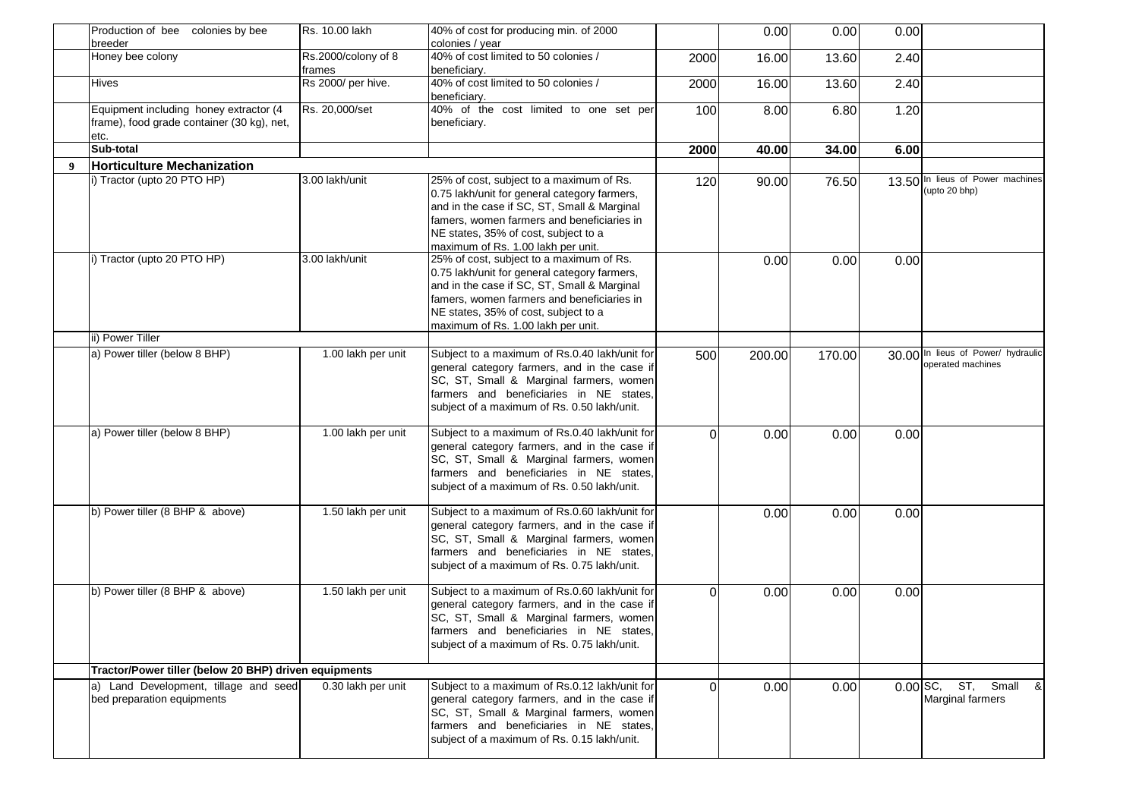| Production of bee colonies by bee                                                            | Rs. 10.00 lakh                | 40% of cost for producing min. of 2000                                                                                                                                                                                                                              |          | 0.00   | 0.00   | 0.00 |                                                         |
|----------------------------------------------------------------------------------------------|-------------------------------|---------------------------------------------------------------------------------------------------------------------------------------------------------------------------------------------------------------------------------------------------------------------|----------|--------|--------|------|---------------------------------------------------------|
| breeder                                                                                      |                               | colonies / year<br>40% of cost limited to 50 colonies /                                                                                                                                                                                                             |          |        |        |      |                                                         |
| Honey bee colony                                                                             | Rs.2000/colony of 8<br>frames | beneficiary.                                                                                                                                                                                                                                                        | 2000     | 16.00  | 13.60  | 2.40 |                                                         |
| <b>Hives</b>                                                                                 | Rs 2000/ per hive.            | 40% of cost limited to 50 colonies /<br>beneficiary.                                                                                                                                                                                                                | 2000     | 16.00  | 13.60  | 2.40 |                                                         |
| Equipment including honey extractor (4<br>frame), food grade container (30 kg), net,<br>etc. | Rs. 20,000/set                | 40% of the cost limited to one set per<br>beneficiary.                                                                                                                                                                                                              | 100      | 8.00   | 6.80   | 1.20 |                                                         |
| Sub-total                                                                                    |                               |                                                                                                                                                                                                                                                                     | 2000     | 40.00  | 34.00  | 6.00 |                                                         |
| <b>Horticulture Mechanization</b>                                                            |                               |                                                                                                                                                                                                                                                                     |          |        |        |      |                                                         |
| i) Tractor (upto 20 PTO HP)                                                                  | 3.00 lakh/unit                | 25% of cost, subject to a maximum of Rs.<br>0.75 lakh/unit for general category farmers,<br>and in the case if SC, ST, Small & Marginal<br>famers, women farmers and beneficiaries in<br>NE states, 35% of cost, subject to a<br>maximum of Rs. 1.00 lakh per unit. | 120      | 90.00  | 76.50  |      | 13.50 In lieus of Power machines<br>(upto 20 bhp)       |
| i) Tractor (upto 20 PTO HP)                                                                  | 3.00 lakh/unit                | 25% of cost, subject to a maximum of Rs.<br>0.75 lakh/unit for general category farmers,<br>and in the case if SC, ST, Small & Marginal<br>famers, women farmers and beneficiaries in<br>NE states, 35% of cost, subject to a<br>maximum of Rs. 1.00 lakh per unit. |          | 0.00   | 0.00   | 0.00 |                                                         |
| ii) Power Tiller                                                                             |                               |                                                                                                                                                                                                                                                                     |          |        |        |      |                                                         |
| a) Power tiller (below 8 BHP)                                                                | 1.00 lakh per unit            | Subject to a maximum of Rs.0.40 lakh/unit for<br>general category farmers, and in the case if<br>SC, ST, Small & Marginal farmers, women<br>farmers and beneficiaries in NE states,<br>subject of a maximum of Rs. 0.50 lakh/unit.                                  | 500      | 200.00 | 170.00 |      | 30.00 In lieus of Power/ hydraulic<br>operated machines |
| a) Power tiller (below 8 BHP)                                                                | 1.00 lakh per unit            | Subject to a maximum of Rs.0.40 lakh/unit for<br>general category farmers, and in the case if<br>SC, ST, Small & Marginal farmers, women<br>farmers and beneficiaries in NE states,<br>subject of a maximum of Rs. 0.50 lakh/unit.                                  | $\Omega$ | 0.00   | 0.00   | 0.00 |                                                         |
| b) Power tiller (8 BHP & above)                                                              | 1.50 lakh per unit            | Subject to a maximum of Rs.0.60 lakh/unit for<br>general category farmers, and in the case if<br>SC, ST, Small & Marginal farmers, women<br>farmers and beneficiaries in NE states.<br>subject of a maximum of Rs. 0.75 lakh/unit.                                  |          | 0.00   | 0.00   | 0.00 |                                                         |
| b) Power tiller (8 BHP & above)                                                              | 1.50 lakh per unit            | Subject to a maximum of Rs.0.60 lakh/unit for<br>general category farmers, and in the case if<br>SC, ST, Small & Marginal farmers, women<br>farmers and beneficiaries in NE states,<br>subject of a maximum of Rs. 0.75 lakh/unit.                                  | $\Omega$ | 0.00   | 0.00   | 0.00 |                                                         |
| Tractor/Power tiller (below 20 BHP) driven equipments                                        |                               |                                                                                                                                                                                                                                                                     |          |        |        |      |                                                         |
| a) Land Development, tillage and seed<br>bed preparation equipments                          | 0.30 lakh per unit            | Subject to a maximum of Rs.0.12 lakh/unit for<br>general category farmers, and in the case if<br>SC, ST, Small & Marginal farmers, women<br>farmers and beneficiaries in NE states,<br>subject of a maximum of Rs. 0.15 lakh/unit.                                  | $\Omega$ | 0.00   | 0.00   |      | $0.00$ SC, ST, Small &<br><b>Marginal farmers</b>       |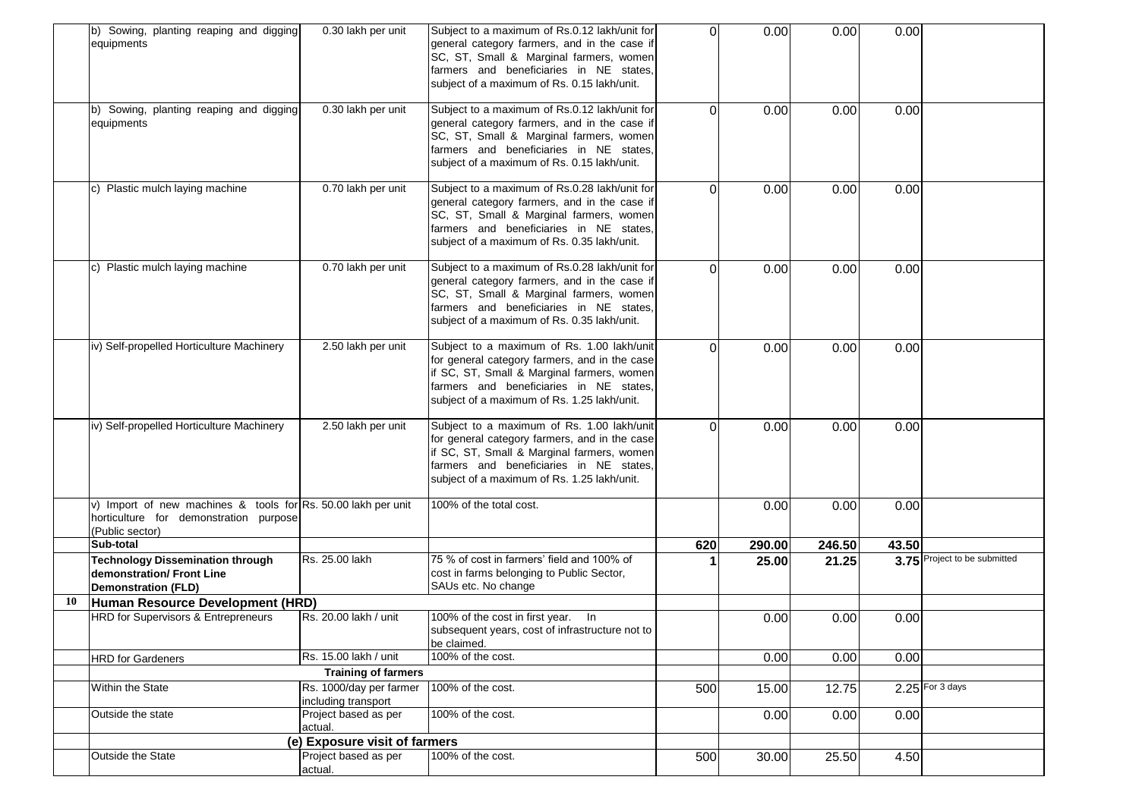|    | b) Sowing, planting reaping and digging<br>equipments                                                                      | 0.30 lakh per unit                             | Subject to a maximum of Rs.0.12 lakh/unit for<br>general category farmers, and in the case if<br>SC, ST, Small & Marginal farmers, women<br>farmers and beneficiaries in NE states.<br>subject of a maximum of Rs. 0.15 lakh/unit.  | $\Omega$ | 0.00   | 0.00   | 0.00  |                              |
|----|----------------------------------------------------------------------------------------------------------------------------|------------------------------------------------|-------------------------------------------------------------------------------------------------------------------------------------------------------------------------------------------------------------------------------------|----------|--------|--------|-------|------------------------------|
|    | Sowing, planting reaping and digging<br>b)<br>equipments                                                                   | 0.30 lakh per unit                             | Subject to a maximum of Rs.0.12 lakh/unit for<br>general category farmers, and in the case if<br>SC, ST, Small & Marginal farmers, women<br>farmers and beneficiaries in NE states,<br>subject of a maximum of Rs. 0.15 lakh/unit.  | $\Omega$ | 0.00   | 0.00   | 0.00  |                              |
|    | c) Plastic mulch laying machine                                                                                            | 0.70 lakh per unit                             | Subject to a maximum of Rs.0.28 lakh/unit for<br>general category farmers, and in the case if<br>SC, ST, Small & Marginal farmers, women<br>farmers and beneficiaries in NE states,<br>subject of a maximum of Rs. 0.35 lakh/unit.  | $\Omega$ | 0.00   | 0.00   | 0.00  |                              |
|    | c) Plastic mulch laying machine                                                                                            | 0.70 lakh per unit                             | Subject to a maximum of Rs.0.28 lakh/unit for<br>general category farmers, and in the case if<br>SC, ST, Small & Marginal farmers, women<br>farmers and beneficiaries in NE states,<br>subject of a maximum of Rs. 0.35 lakh/unit.  | 0        | 0.00   | 0.00   | 0.00  |                              |
|    | iv) Self-propelled Horticulture Machinery                                                                                  | 2.50 lakh per unit                             | Subject to a maximum of Rs. 1.00 lakh/unit<br>for general category farmers, and in the case<br>if SC, ST, Small & Marginal farmers, women<br>farmers and beneficiaries in NE states,<br>subject of a maximum of Rs. 1.25 lakh/unit. | $\Omega$ | 0.00   | 0.00   | 0.00  |                              |
|    | iv) Self-propelled Horticulture Machinery                                                                                  | 2.50 lakh per unit                             | Subject to a maximum of Rs. 1.00 lakh/unit<br>for general category farmers, and in the case<br>if SC, ST, Small & Marginal farmers, women<br>farmers and beneficiaries in NE states,<br>subject of a maximum of Rs. 1.25 lakh/unit. | 0        | 0.00   | 0.00   | 0.00  |                              |
|    | v) Import of new machines & tools for Rs. 50.00 lakh per unit<br>horticulture for demonstration purpose<br>(Public sector) |                                                | 100% of the total cost.                                                                                                                                                                                                             |          | 0.00   | 0.00   | 0.00  |                              |
|    | Sub-total                                                                                                                  |                                                |                                                                                                                                                                                                                                     | 620      | 290.00 | 246.50 | 43.50 |                              |
|    | <b>Technology Dissemination through</b><br>demonstration/ Front Line<br><b>Demonstration (FLD)</b>                         | Rs. 25.00 lakh                                 | 75 % of cost in farmers' field and 100% of<br>cost in farms belonging to Public Sector,<br>SAUs etc. No change                                                                                                                      |          | 25.00  | 21.25  |       | 3.75 Project to be submitted |
| 10 | Human Resource Development (HRD)                                                                                           |                                                |                                                                                                                                                                                                                                     |          |        |        |       |                              |
|    | HRD for Supervisors & Entrepreneurs                                                                                        | Rs. 20.00 lakh / unit                          | 100% of the cost in first year. In<br>subsequent years, cost of infrastructure not to<br>be claimed.                                                                                                                                |          | 0.00   | 0.00   | 0.00  |                              |
|    | <b>HRD</b> for Gardeners                                                                                                   | Rs. 15.00 lakh / unit                          | 100% of the cost.                                                                                                                                                                                                                   |          | 0.00   | 0.00   | 0.00  |                              |
|    |                                                                                                                            | <b>Training of farmers</b>                     |                                                                                                                                                                                                                                     |          |        |        |       |                              |
|    | Within the State                                                                                                           | Rs. 1000/day per farmer<br>including transport | 100% of the cost.                                                                                                                                                                                                                   | 500      | 15.00  | 12.75  |       | $2.25$ For 3 days            |
|    | Outside the state                                                                                                          | Project based as per<br>actual.                | 100% of the cost.                                                                                                                                                                                                                   |          | 0.00   | 0.00   | 0.00  |                              |
|    |                                                                                                                            | (e) Exposure visit of farmers                  |                                                                                                                                                                                                                                     |          |        |        |       |                              |
|    | Outside the State                                                                                                          | Project based as per<br>actual.                | 100% of the cost.                                                                                                                                                                                                                   | 500      | 30.00  | 25.50  | 4.50  |                              |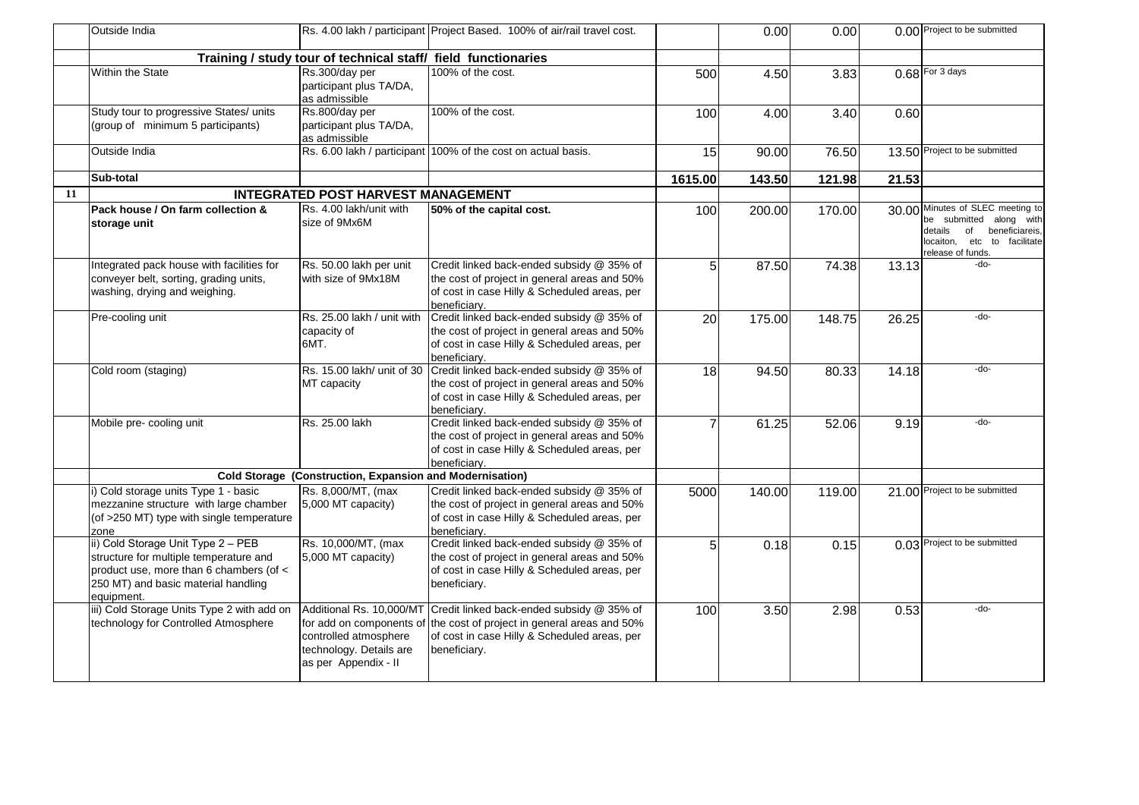|    | Outside India                                                                                                                                                                |                                                                                                                                  | Rs. 4.00 lakh / participant Project Based. 100% of air/rail travel cost.                                                                                  |                | 0.00   | 0.00   |       | 0.00 Project to be submitted                                                                                                                          |
|----|------------------------------------------------------------------------------------------------------------------------------------------------------------------------------|----------------------------------------------------------------------------------------------------------------------------------|-----------------------------------------------------------------------------------------------------------------------------------------------------------|----------------|--------|--------|-------|-------------------------------------------------------------------------------------------------------------------------------------------------------|
|    |                                                                                                                                                                              | Training / study tour of technical staff/ field functionaries                                                                    |                                                                                                                                                           |                |        |        |       |                                                                                                                                                       |
|    | Within the State                                                                                                                                                             | Rs.300/day per<br>participant plus TA/DA,<br>as admissible                                                                       | 100% of the cost.                                                                                                                                         | 500            | 4.50   | 3.83   |       | 0.68 For 3 days                                                                                                                                       |
|    | Study tour to progressive States/ units<br>(group of minimum 5 participants)                                                                                                 | Rs.800/day per<br>participant plus TA/DA,<br>as admissible                                                                       | 100% of the cost.                                                                                                                                         | 100            | 4.00   | 3.40   | 0.60  |                                                                                                                                                       |
|    | Outside India                                                                                                                                                                |                                                                                                                                  | Rs. 6.00 lakh / participant 100% of the cost on actual basis.                                                                                             | 15             | 90.00  | 76.50  |       | 13.50 Project to be submitted                                                                                                                         |
|    | Sub-total                                                                                                                                                                    |                                                                                                                                  |                                                                                                                                                           | 1615.00        | 143.50 | 121.98 | 21.53 |                                                                                                                                                       |
| 11 |                                                                                                                                                                              | <b>INTEGRATED POST HARVEST MANAGEMENT</b>                                                                                        |                                                                                                                                                           |                |        |        |       |                                                                                                                                                       |
|    | Pack house / On farm collection &<br>storage unit                                                                                                                            | Rs. 4.00 lakh/unit with<br>size of 9Mx6M                                                                                         | 50% of the capital cost.                                                                                                                                  | 100            | 200.00 | 170.00 |       | 30.00 Minutes of SLEC meeting to<br>be submitted along with<br>details<br>of<br>beneficiareis,<br>etc to facilitate<br>locaiton.<br>release of funds. |
|    | Integrated pack house with facilities for<br>conveyer belt, sorting, grading units,<br>washing, drying and weighing.                                                         | Rs. 50.00 lakh per unit<br>with size of 9Mx18M                                                                                   | Credit linked back-ended subsidy @ 35% of<br>the cost of project in general areas and 50%<br>of cost in case Hilly & Scheduled areas, per<br>beneficiary. | 5 <sup>1</sup> | 87.50  | 74.38  | 13.13 | -do-                                                                                                                                                  |
|    | Pre-cooling unit                                                                                                                                                             | Rs. 25.00 lakh / unit with<br>capacity of<br>6MT.                                                                                | Credit linked back-ended subsidy @ 35% of<br>the cost of project in general areas and 50%<br>of cost in case Hilly & Scheduled areas, per<br>beneficiary. | 20             | 175.00 | 148.75 | 26.25 | -do-                                                                                                                                                  |
|    | Cold room (staging)                                                                                                                                                          | Rs. 15.00 lakh/ unit of 30<br>MT capacity                                                                                        | Credit linked back-ended subsidy @ 35% of<br>the cost of project in general areas and 50%<br>of cost in case Hilly & Scheduled areas, per<br>beneficiary. | 18             | 94.50  | 80.33  | 14.18 | $-do-$                                                                                                                                                |
|    | Mobile pre- cooling unit                                                                                                                                                     | Rs. 25.00 lakh                                                                                                                   | Credit linked back-ended subsidy @ 35% of<br>the cost of project in general areas and 50%<br>of cost in case Hilly & Scheduled areas, per<br>beneficiarv. | $\overline{7}$ | 61.25  | 52.06  | 9.19  | -do-                                                                                                                                                  |
|    |                                                                                                                                                                              | Cold Storage (Construction, Expansion and Modernisation)                                                                         |                                                                                                                                                           |                |        |        |       |                                                                                                                                                       |
|    | i) Cold storage units Type 1 - basic<br>mezzanine structure with large chamber<br>(of >250 MT) type with single temperature<br>zone                                          | Rs. 8,000/MT, (max<br>5,000 MT capacity)                                                                                         | Credit linked back-ended subsidy @ 35% of<br>the cost of project in general areas and 50%<br>of cost in case Hilly & Scheduled areas, per<br>beneficiary. | 5000           | 140.00 | 119.00 |       | 21.00 Project to be submitted                                                                                                                         |
|    | ii) Cold Storage Unit Type 2 - PEB<br>structure for multiple temperature and<br>product use, more than 6 chambers (of <<br>250 MT) and basic material handling<br>equipment. | Rs. 10,000/MT, (max<br>5,000 MT capacity)                                                                                        | Credit linked back-ended subsidy @ 35% of<br>the cost of project in general areas and 50%<br>of cost in case Hilly & Scheduled areas, per<br>beneficiary. | 5 <sup>1</sup> | 0.18   | 0.15   |       | 0.03 Project to be submitted                                                                                                                          |
|    | iii) Cold Storage Units Type 2 with add on<br>technology for Controlled Atmosphere                                                                                           | Additional Rs. 10,000/MT<br>for add on components of<br>controlled atmosphere<br>technology. Details are<br>as per Appendix - II | Credit linked back-ended subsidy @ 35% of<br>the cost of project in general areas and 50%<br>of cost in case Hilly & Scheduled areas, per<br>beneficiary. | 100            | 3.50   | 2.98   | 0.53  | -do-                                                                                                                                                  |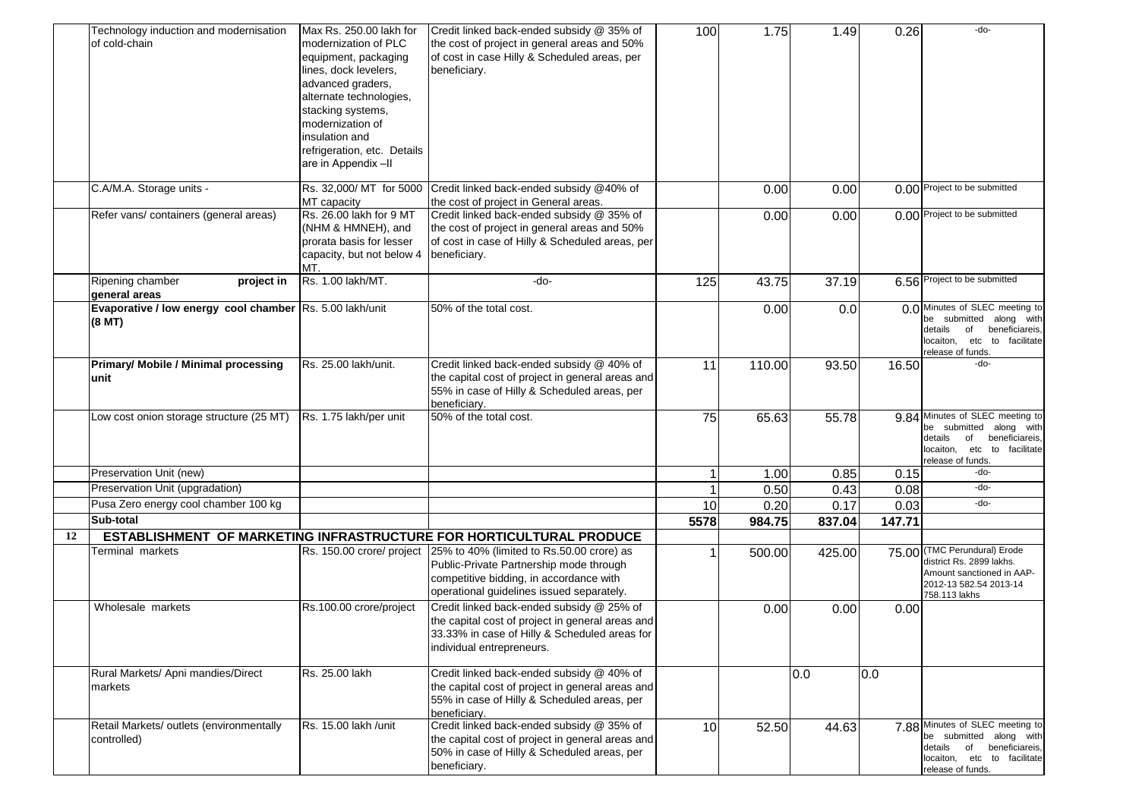|    | Technology induction and modernisation                   | Max Rs. 250.00 lakh for                       | Credit linked back-ended subsidy @ 35% of                                                                      | 100             | 1.75   | 1.49   | 0.26   | -do-                                                       |
|----|----------------------------------------------------------|-----------------------------------------------|----------------------------------------------------------------------------------------------------------------|-----------------|--------|--------|--------|------------------------------------------------------------|
|    | of cold-chain                                            | modernization of PLC<br>equipment, packaging  | the cost of project in general areas and 50%<br>of cost in case Hilly & Scheduled areas, per                   |                 |        |        |        |                                                            |
|    |                                                          | lines, dock levelers,                         | beneficiary.                                                                                                   |                 |        |        |        |                                                            |
|    |                                                          | advanced graders,                             |                                                                                                                |                 |        |        |        |                                                            |
|    |                                                          | alternate technologies,                       |                                                                                                                |                 |        |        |        |                                                            |
|    |                                                          | stacking systems,                             |                                                                                                                |                 |        |        |        |                                                            |
|    |                                                          | modernization of                              |                                                                                                                |                 |        |        |        |                                                            |
|    |                                                          | insulation and                                |                                                                                                                |                 |        |        |        |                                                            |
|    |                                                          | refrigeration, etc. Details                   |                                                                                                                |                 |        |        |        |                                                            |
|    |                                                          | are in Appendix-II                            |                                                                                                                |                 |        |        |        |                                                            |
|    | C.A/M.A. Storage units -                                 | Rs. 32,000/ MT for 5000                       | Credit linked back-ended subsidy @40% of                                                                       |                 | 0.00   | 0.00   |        | 0.00 Project to be submitted                               |
|    |                                                          | MT capacity                                   | the cost of project in General areas.                                                                          |                 |        |        |        | 0.00 Project to be submitted                               |
|    | Refer vans/ containers (general areas)                   | Rs. 26.00 lakh for 9 MT<br>(NHM & HMNEH), and | Credit linked back-ended subsidy @ 35% of                                                                      |                 | 0.00   | 0.00   |        |                                                            |
|    |                                                          | prorata basis for lesser                      | the cost of project in general areas and 50%<br>of cost in case of Hilly & Scheduled areas, per                |                 |        |        |        |                                                            |
|    |                                                          | capacity, but not below 4                     | beneficiary.                                                                                                   |                 |        |        |        |                                                            |
|    |                                                          | MT.                                           |                                                                                                                |                 |        |        |        |                                                            |
|    | Ripening chamber<br>project in<br>general areas          | Rs. 1.00 lakh/MT.                             | -do-                                                                                                           | 125             | 43.75  | 37.19  |        | 6.56 Project to be submitted                               |
|    | Evaporative / low energy cool chamber Rs. 5.00 lakh/unit |                                               | 50% of the total cost.                                                                                         |                 | 0.00   | 0.0    |        | 0.0 Minutes of SLEC meeting to                             |
|    | $(8$ MT $)$                                              |                                               |                                                                                                                |                 |        |        |        | be submitted along with<br>details of<br>beneficiareis,    |
|    |                                                          |                                               |                                                                                                                |                 |        |        |        | locaiton, etc to facilitate                                |
|    |                                                          |                                               |                                                                                                                |                 |        |        |        | release of funds.                                          |
|    | <b>Primary/ Mobile / Minimal processing</b>              | Rs. 25.00 lakh/unit.                          | Credit linked back-ended subsidy @ 40% of                                                                      | 11              | 110.00 | 93.50  | 16.50  | -do-                                                       |
|    | unit                                                     |                                               | the capital cost of project in general areas and<br>55% in case of Hilly & Scheduled areas, per                |                 |        |        |        |                                                            |
|    |                                                          |                                               | beneficiary.                                                                                                   |                 |        |        |        |                                                            |
|    | Low cost onion storage structure (25 MT)                 | Rs. 1.75 lakh/per unit                        | 50% of the total cost.                                                                                         | 75              | 65.63  | 55.78  | 9.84   | Minutes of SLEC meeting to                                 |
|    |                                                          |                                               |                                                                                                                |                 |        |        |        | be submitted along with<br>of<br>details<br>beneficiareis, |
|    |                                                          |                                               |                                                                                                                |                 |        |        |        | locaiton,<br>etc to facilitate                             |
|    |                                                          |                                               |                                                                                                                |                 |        |        |        | release of funds.                                          |
|    | Preservation Unit (new)                                  |                                               |                                                                                                                |                 | 1.00   | 0.85   | 0.15   | -do-                                                       |
|    | Preservation Unit (upgradation)                          |                                               |                                                                                                                |                 | 0.50   | 0.43   | 0.08   | -do-                                                       |
|    | Pusa Zero energy cool chamber 100 kg                     |                                               |                                                                                                                | 10              | 0.20   | 0.17   | 0.03   | -do-                                                       |
|    | Sub-total                                                |                                               |                                                                                                                | 5578            | 984.75 | 837.04 | 147.71 |                                                            |
| 12 |                                                          |                                               | ESTABLISHMENT OF MARKETING INFRASTRUCTURE FOR HORTICULTURAL PRODUCE                                            |                 |        |        |        | 75.00 (TMC Perundural) Erode                               |
|    | <b>Ferminal markets</b>                                  |                                               | Rs. 150.00 crore/ project 25% to 40% (limited to Rs.50.00 crore) as<br>Public-Private Partnership mode through |                 | 500.00 | 425.00 |        | district Rs. 2899 lakhs.                                   |
|    |                                                          |                                               | competitive bidding, in accordance with                                                                        |                 |        |        |        | Amount sanctioned in AAP-                                  |
|    |                                                          |                                               | operational guidelines issued separately.                                                                      |                 |        |        |        | 2012-13 582.54 2013-14<br>758.113 lakhs                    |
|    | Wholesale markets                                        | Rs.100.00 crore/project                       | Credit linked back-ended subsidy @ 25% of                                                                      |                 | 0.00   | 0.00   | 0.00   |                                                            |
|    |                                                          |                                               | the capital cost of project in general areas and                                                               |                 |        |        |        |                                                            |
|    |                                                          |                                               | 33.33% in case of Hilly & Scheduled areas for                                                                  |                 |        |        |        |                                                            |
|    |                                                          |                                               | individual entrepreneurs.                                                                                      |                 |        |        |        |                                                            |
|    | Rural Markets/ Apni mandies/Direct                       | Rs. 25.00 lakh                                | Credit linked back-ended subsidy @ 40% of                                                                      |                 |        | 0.0    | 0.0    |                                                            |
|    | markets                                                  |                                               | the capital cost of project in general areas and                                                               |                 |        |        |        |                                                            |
|    |                                                          |                                               | 55% in case of Hilly & Scheduled areas, per                                                                    |                 |        |        |        |                                                            |
|    |                                                          |                                               | beneficiary.                                                                                                   |                 |        |        |        |                                                            |
|    | Retail Markets/ outlets (environmentally                 | Rs. 15.00 lakh /unit                          | Credit linked back-ended subsidy @ 35% of                                                                      | 10 <sup>1</sup> | 52.50  | 44.63  |        | 7.88 Minutes of SLEC meeting to<br>be submitted along with |
|    | controlled)                                              |                                               | the capital cost of project in general areas and<br>50% in case of Hilly & Scheduled areas, per                |                 |        |        |        | details of beneficiareis,                                  |
|    |                                                          |                                               | beneficiary.                                                                                                   |                 |        |        |        | locaiton, etc to facilitate                                |
|    |                                                          |                                               |                                                                                                                |                 |        |        |        | release of funds.                                          |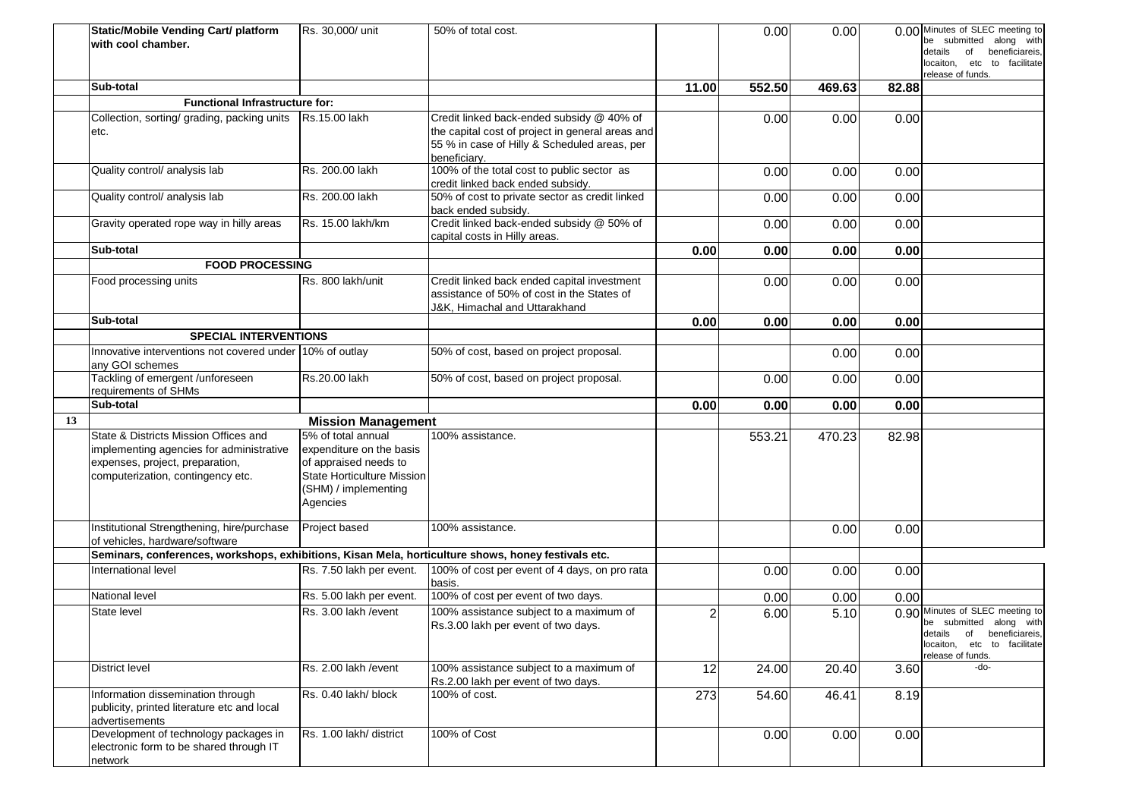|    | Static/Mobile Vending Cart/ platform<br>with cool chamber.                                                                                                | Rs. 30,000/ unit                                                                                                                                 | 50% of total cost.                                                                                                                                            |                | 0.00   | 0.00   |       | 0.00 Minutes of SLEC meeting to<br>be submitted along with<br>beneficiareis,<br>details<br>of<br>locaiton, etc to facilitate<br>release of funds. |
|----|-----------------------------------------------------------------------------------------------------------------------------------------------------------|--------------------------------------------------------------------------------------------------------------------------------------------------|---------------------------------------------------------------------------------------------------------------------------------------------------------------|----------------|--------|--------|-------|---------------------------------------------------------------------------------------------------------------------------------------------------|
|    | Sub-total                                                                                                                                                 |                                                                                                                                                  |                                                                                                                                                               | 11.00          | 552.50 | 469.63 | 82.88 |                                                                                                                                                   |
|    | <b>Functional Infrastructure for:</b>                                                                                                                     |                                                                                                                                                  |                                                                                                                                                               |                |        |        |       |                                                                                                                                                   |
|    | Collection, sorting/ grading, packing units<br>etc.                                                                                                       | Rs.15.00 lakh                                                                                                                                    | Credit linked back-ended subsidy @ 40% of<br>the capital cost of project in general areas and<br>55 % in case of Hilly & Scheduled areas, per<br>beneficiary. |                | 0.00   | 0.00   | 0.00  |                                                                                                                                                   |
|    | Quality control/ analysis lab                                                                                                                             | Rs. 200.00 lakh                                                                                                                                  | 100% of the total cost to public sector as<br>credit linked back ended subsidy.                                                                               |                | 0.00   | 0.00   | 0.00  |                                                                                                                                                   |
|    | Quality control/ analysis lab                                                                                                                             | Rs. 200.00 lakh                                                                                                                                  | 50% of cost to private sector as credit linked<br>back ended subsidy.                                                                                         |                | 0.00   | 0.00   | 0.00  |                                                                                                                                                   |
|    | Gravity operated rope way in hilly areas                                                                                                                  | Rs. 15.00 lakh/km                                                                                                                                | Credit linked back-ended subsidy @ 50% of<br>capital costs in Hilly areas.                                                                                    |                | 0.00   | 0.00   | 0.00  |                                                                                                                                                   |
|    | Sub-total                                                                                                                                                 |                                                                                                                                                  |                                                                                                                                                               | 0.00           | 0.00   | 0.00   | 0.00  |                                                                                                                                                   |
|    | <b>FOOD PROCESSING</b>                                                                                                                                    |                                                                                                                                                  |                                                                                                                                                               |                |        |        |       |                                                                                                                                                   |
|    | Food processing units                                                                                                                                     | Rs. 800 lakh/unit                                                                                                                                | Credit linked back ended capital investment<br>assistance of 50% of cost in the States of<br>J&K, Himachal and Uttarakhand                                    |                | 0.00   | 0.00   | 0.00  |                                                                                                                                                   |
|    | Sub-total                                                                                                                                                 |                                                                                                                                                  |                                                                                                                                                               | 0.00           | 0.00   | 0.00   | 0.00  |                                                                                                                                                   |
|    | <b>SPECIAL INTERVENTIONS</b>                                                                                                                              |                                                                                                                                                  |                                                                                                                                                               |                |        |        |       |                                                                                                                                                   |
|    | Innovative interventions not covered under 10% of outlay<br>any GOI schemes                                                                               |                                                                                                                                                  | 50% of cost, based on project proposal.                                                                                                                       |                |        | 0.00   | 0.00  |                                                                                                                                                   |
|    | Tackling of emergent /unforeseen<br>requirements of SHMs                                                                                                  | Rs.20.00 lakh                                                                                                                                    | 50% of cost, based on project proposal.                                                                                                                       |                | 0.00   | 0.00   | 0.00  |                                                                                                                                                   |
|    | Sub-total                                                                                                                                                 |                                                                                                                                                  |                                                                                                                                                               | 0.00           | 0.00   | 0.00   | 0.00  |                                                                                                                                                   |
| 13 |                                                                                                                                                           | <b>Mission Management</b>                                                                                                                        |                                                                                                                                                               |                |        |        |       |                                                                                                                                                   |
|    | State & Districts Mission Offices and<br>implementing agencies for administrative<br>expenses, project, preparation,<br>computerization, contingency etc. | 5% of total annual<br>expenditure on the basis<br>of appraised needs to<br><b>State Horticulture Mission</b><br>(SHM) / implementing<br>Agencies | 100% assistance.                                                                                                                                              |                | 553.21 | 470.23 | 82.98 |                                                                                                                                                   |
|    | Institutional Strengthening, hire/purchase<br>of vehicles, hardware/software                                                                              | Project based                                                                                                                                    | 100% assistance.                                                                                                                                              |                |        | 0.00   | 0.00  |                                                                                                                                                   |
|    | Seminars, conferences, workshops, exhibitions, Kisan Mela, horticulture shows, honey festivals etc.                                                       |                                                                                                                                                  |                                                                                                                                                               |                |        |        |       |                                                                                                                                                   |
|    | International level                                                                                                                                       | Rs. 7.50 lakh per event.                                                                                                                         | 100% of cost per event of 4 days, on pro rata<br>basis.                                                                                                       |                | 0.00   | 0.00   | 0.00  |                                                                                                                                                   |
|    | National level                                                                                                                                            | Rs. 5.00 lakh per event.                                                                                                                         | 100% of cost per event of two days.                                                                                                                           |                | 0.00   | 0.00   | 0.00  |                                                                                                                                                   |
|    | State level                                                                                                                                               | Rs. 3.00 lakh / event                                                                                                                            | 100% assistance subject to a maximum of<br>Rs.3.00 lakh per event of two days.                                                                                | $\overline{2}$ | 6.00   | 5.10   |       | 0.90 Minutes of SLEC meeting to<br>be submitted along with<br>details of beneficiareis,<br>locaiton, etc to facilitate<br>release of funds.       |
|    | District level                                                                                                                                            | Rs. 2.00 lakh / event                                                                                                                            | 100% assistance subject to a maximum of<br>Rs.2.00 lakh per event of two days.                                                                                | 12             | 24.00  | 20.40  | 3.60  | -do-                                                                                                                                              |
|    | Information dissemination through<br>publicity, printed literature etc and local<br>advertisements                                                        | Rs. 0.40 lakh/ block                                                                                                                             | 100% of cost.                                                                                                                                                 | 273            | 54.60  | 46.41  | 8.19  |                                                                                                                                                   |
|    | Development of technology packages in<br>electronic form to be shared through IT<br>network                                                               | Rs. 1.00 lakh/ district                                                                                                                          | 100% of Cost                                                                                                                                                  |                | 0.00   | 0.00   | 0.00  |                                                                                                                                                   |